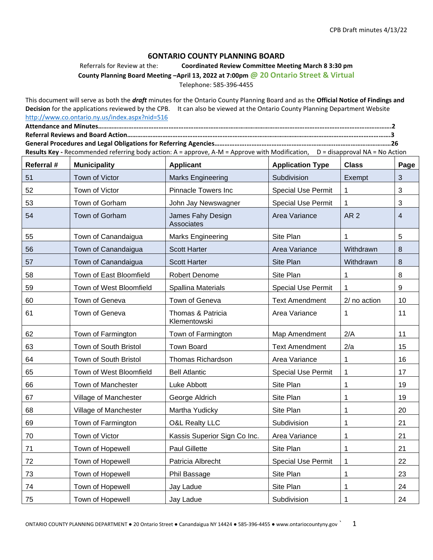#### **6ONTARIO COUNTY PLANNING BOARD**

Referrals for Review at the: **Coordinated Review Committee Meeting March 8 3:30 pm**

**County Planning Board Meeting –April 13, 2022 at 7:00pm @ 20 Ontario Street & Virtual**

Telephone: 585-396-4455

This document will serve as both the *draft* minutes for the Ontario County Planning Board and as the **Official Notice of Findings and Decision** for the applications reviewed by the CPB. It can also be viewed at the Ontario County Planning Department Website <http://www.co.ontario.ny.us/index.aspx?nid=516>

**Attendance and Minutes………………………………………………………………………………………………………………………………………………………….2 Referral Reviews and Board Action………………………………………………………………………………………………………………………………………….3 General Procedures and Legal Obligations for Referring Agencies……………….……………………………………………..……………………………26** Results Key - Recommended referring body action: A = approve, A-M = Approve with Modification, D = disapproval NA = No Action

| Referral # | <b>Municipality</b>     | <b>Applicant</b>                  | <b>Application Type</b>   | <b>Class</b>    | Page         |
|------------|-------------------------|-----------------------------------|---------------------------|-----------------|--------------|
| 51         | Town of Victor          | <b>Marks Engineering</b>          | Subdivision               | Exempt          | $\mathbf{3}$ |
| 52         | Town of Victor          | <b>Pinnacle Towers Inc</b>        | <b>Special Use Permit</b> | 1.              | 3            |
| 53         | Town of Gorham          | John Jay Newswagner               | <b>Special Use Permit</b> | 1               | 3            |
| 54         | Town of Gorham          | James Fahy Design<br>Associates   | Area Variance             | AR <sub>2</sub> | 4            |
| 55         | Town of Canandaigua     | <b>Marks Engineering</b>          | Site Plan                 | 1               | 5            |
| 56         | Town of Canandaigua     | <b>Scott Harter</b>               | Area Variance             | Withdrawn       | $\,8\,$      |
| 57         | Town of Canandaigua     | <b>Scott Harter</b>               | Site Plan                 | Withdrawn       | 8            |
| 58         | Town of East Bloomfield | Robert Denome                     | Site Plan                 | 1               | 8            |
| 59         | Town of West Bloomfield | <b>Spallina Materials</b>         | <b>Special Use Permit</b> | 1               | $9\,$        |
| 60         | Town of Geneva          | Town of Geneva                    | <b>Text Amendment</b>     | 2/ no action    | 10           |
| 61         | Town of Geneva          | Thomas & Patricia<br>Klementowski | Area Variance             | 1               | 11           |
| 62         | Town of Farmington      | Town of Farmington                | Map Amendment             | 2/A             | 11           |
| 63         | Town of South Bristol   | <b>Town Board</b>                 | <b>Text Amendment</b>     | 2/a             | 15           |
| 64         | Town of South Bristol   | Thomas Richardson                 | Area Variance             | $\mathbf{1}$    | 16           |
| 65         | Town of West Bloomfield | <b>Bell Atlantic</b>              | <b>Special Use Permit</b> | 1               | 17           |
| 66         | Town of Manchester      | Luke Abbott                       | Site Plan                 | 1               | 19           |
| 67         | Village of Manchester   | George Aldrich                    | Site Plan                 | 1               | 19           |
| 68         | Village of Manchester   | Martha Yudicky                    | Site Plan                 | 1               | 20           |
| 69         | Town of Farmington      | <b>O&amp;L Realty LLC</b>         | Subdivision               | 1               | 21           |
| 70         | Town of Victor          | Kassis Superior Sign Co Inc.      | Area Variance             | 1               | 21           |
| 71         | Town of Hopewell        | <b>Paul Gillette</b>              | Site Plan                 | 1               | 21           |
| 72         | Town of Hopewell        | Patricia Albrecht                 | <b>Special Use Permit</b> | 1               | 22           |
| 73         | Town of Hopewell        | Phil Bassage                      | Site Plan                 | 1               | 23           |
| 74         | Town of Hopewell        | Jay Ladue                         | Site Plan                 | 1               | 24           |
| 75         | Town of Hopewell        | Jay Ladue                         | Subdivision               | 1               | 24           |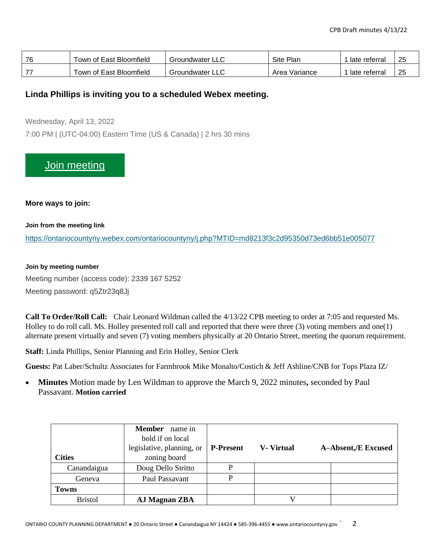| 76 | Town of East Bloomfield | Groundwater   | Site Plan     | late referral | 25 |
|----|-------------------------|---------------|---------------|---------------|----|
|    | Town of East Bloomfield | Groundwater ' | Area Variance | late referral | 25 |

#### **Linda Phillips is inviting you to a scheduled Webex meeting.**

Wednesday, April 13, 2022

7:00 PM | (UTC-04:00) Eastern Time (US & Canada) | 2 hrs 30 mins

## [Join meeting](https://ontariocountyny.webex.com/ontariocountyny/j.php?MTID=md8213f3c2d95350d73ed6bb51e005077)

**More ways to join:**

**Join from the meeting link**

<https://ontariocountyny.webex.com/ontariocountyny/j.php?MTID=md8213f3c2d95350d73ed6bb51e005077>

#### **Join by meeting number**

Meeting number (access code): 2339 167 5252 Meeting password: q5Ztr23q8Jj

**Call To Order/Roll Call:** Chair Leonard Wildman called the 4/13/22 CPB meeting to order at 7:05 and requested Ms. Holley to do roll call. Ms. Holley presented roll call and reported that there were three (3) voting members and one(1) alternate present virtually and seven (7) voting members physically at 20 Ontario Street, meeting the quorum requirement.

**Staff:** Linda Phillips, Senior Planning and Erin Holley, Senior Clerk

**Guests:** Pat Laber/Schultz Associates for Farmbrook Mike Monalto/Costich & Jeff Ashline/CNB for Tops Plaza IZ/

• **Minutes** Motion made by Len Wildman to approve the March 9, 2022 minutes**,** seconded by Paul Passavant. **Motion carried**

| <b>Cities</b>  | <b>Member</b> name in<br>bold if on local<br>legislative, planning, or<br>zoning board | <b>P-Present</b> | <b>V</b> - Virtual | <b>A-Absent,/E Excused</b> |
|----------------|----------------------------------------------------------------------------------------|------------------|--------------------|----------------------------|
| Canandaigua    | Doug Dello Stritto                                                                     | P                |                    |                            |
| Geneva         | Paul Passavant                                                                         | p                |                    |                            |
| <b>Towns</b>   |                                                                                        |                  |                    |                            |
| <b>Bristol</b> | AJ Magnan ZBA                                                                          |                  |                    |                            |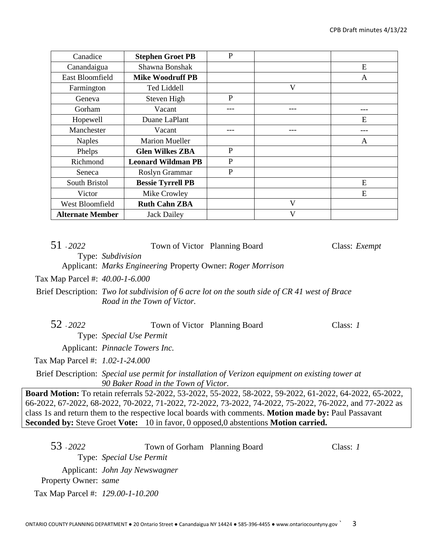| Canadice                | <b>Stephen Groet PB</b>   | P |   |     |
|-------------------------|---------------------------|---|---|-----|
| Canandaigua             | Shawna Bonshak            |   |   | E   |
| East Bloomfield         | <b>Mike Woodruff PB</b>   |   |   | A   |
| Farmington              | <b>Ted Liddell</b>        |   | V |     |
| Geneva                  | Steven High               | P |   |     |
| Gorham                  | Vacant                    |   |   | --- |
| Hopewell                | Duane LaPlant             |   |   | E   |
| Manchester              | Vacant                    |   |   |     |
| <b>Naples</b>           | <b>Marion Mueller</b>     |   |   | A   |
| Phelps                  | <b>Glen Wilkes ZBA</b>    | P |   |     |
| Richmond                | <b>Leonard Wildman PB</b> | P |   |     |
| Seneca                  | Roslyn Grammar            | P |   |     |
| South Bristol           | <b>Bessie Tyrrell PB</b>  |   |   | E   |
| Victor                  | Mike Crowley              |   |   | E   |
| West Bloomfield         | <b>Ruth Cahn ZBA</b>      |   | V |     |
| <b>Alternate Member</b> | <b>Jack Dailey</b>        |   | V |     |

| 51 - 2022                         | Town of Victor Planning Board                                                    |                                                                                                                                                                                                                                                                                                                                                                                                                        | Class: Exempt |
|-----------------------------------|----------------------------------------------------------------------------------|------------------------------------------------------------------------------------------------------------------------------------------------------------------------------------------------------------------------------------------------------------------------------------------------------------------------------------------------------------------------------------------------------------------------|---------------|
|                                   | Type: Subdivision<br>Applicant: Marks Engineering Property Owner: Roger Morrison |                                                                                                                                                                                                                                                                                                                                                                                                                        |               |
| Tax Map Parcel #: 40.00-1-6.000   |                                                                                  |                                                                                                                                                                                                                                                                                                                                                                                                                        |               |
|                                   | Road in the Town of Victor.                                                      | Brief Description: Two lot subdivision of 6 acre lot on the south side of CR 41 west of Brace                                                                                                                                                                                                                                                                                                                          |               |
| 52 - 2022                         | Town of Victor Planning Board                                                    |                                                                                                                                                                                                                                                                                                                                                                                                                        | Class: $1$    |
|                                   | Type: Special Use Permit                                                         |                                                                                                                                                                                                                                                                                                                                                                                                                        |               |
|                                   | Applicant: <i>Pinnacle Towers Inc.</i>                                           |                                                                                                                                                                                                                                                                                                                                                                                                                        |               |
| Tax Map Parcel #: 1.02-1-24.000   |                                                                                  |                                                                                                                                                                                                                                                                                                                                                                                                                        |               |
|                                   | 90 Baker Road in the Town of Victor.                                             | Brief Description: Special use permit for installation of Verizon equipment on existing tower at                                                                                                                                                                                                                                                                                                                       |               |
|                                   |                                                                                  | Board Motion: To retain referrals 52-2022, 53-2022, 55-2022, 58-2022, 59-2022, 61-2022, 64-2022, 65-2022,<br>66-2022, 67-2022, 68-2022, 70-2022, 71-2022, 72-2022, 73-2022, 74-2022, 75-2022, 76-2022, and 77-2022 as<br>class 1s and return them to the respective local boards with comments. Motion made by: Paul Passavant<br>Seconded by: Steve Groet Vote: 10 in favor, 0 opposed, 0 abstentions Motion carried. |               |
|                                   |                                                                                  |                                                                                                                                                                                                                                                                                                                                                                                                                        |               |
| 53 - 2022                         | Town of Gorham Planning Board                                                    |                                                                                                                                                                                                                                                                                                                                                                                                                        | Class: $1$    |
|                                   | Type: Special Use Permit                                                         |                                                                                                                                                                                                                                                                                                                                                                                                                        |               |
|                                   | Applicant: John Jay Newswagner                                                   |                                                                                                                                                                                                                                                                                                                                                                                                                        |               |
| Property Owner: same              |                                                                                  |                                                                                                                                                                                                                                                                                                                                                                                                                        |               |
| Tax Map Parcel #: 129.00-1-10.200 |                                                                                  |                                                                                                                                                                                                                                                                                                                                                                                                                        |               |

ONTARIO COUNTY PLANNING DEPARTMENT ● 20 Ontario Street ● Canandaigua NY 14424 ● 585-396-4455 ● www.ontariocountyny.gov ` 3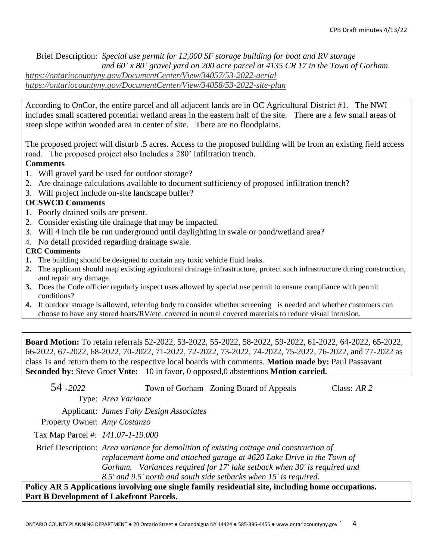Brief Description: *Special use permit for 12,000 SF storage building for boat and RV storage and 60' x 80' gravel yard on 200 acre parcel at 4135 CR 17 in the Town of Gorham. <https://ontariocountyny.gov/DocumentCenter/View/34057/53-2022-aerial> <https://ontariocountyny.gov/DocumentCenter/View/34058/53-2022-site-plan>*

According to OnCor, the entire parcel and all adjacent lands are in OC Agricultural District #1. The NWI includes small scattered potential wetland areas in the eastern half of the site. There are a few small areas of steep slope within wooded area in center of site. There are no floodplains.

The proposed project will disturb .5 acres. Access to the proposed building will be from an existing field access road. The proposed project also Includes a 280' infiltration trench.

### **Comments**

- 1. Will gravel yard be used for outdoor storage?
- 2. Are drainage calculations available to document sufficiency of proposed infiltration trench?
- 3. Will project include on-site landscape buffer?

### **OCSWCD Comments**

- 1. Poorly drained soils are present.
- 2. Consider existing tile drainage that may be impacted.
- 3. Will 4 inch tile be run underground until daylighting in swale or pond/wetland area?
- 4. No detail provided regarding drainage swale.

#### **CRC Comments**

- **1.** The building should be designed to contain any toxic vehicle fluid leaks.
- **2.** The applicant should map existing agricultural drainage infrastructure, protect such infrastructure during construction, and repair any damage.
- **3.** Does the Code officier regularly inspect uses allowed by special use permit to ensure compliance with permit conditions?
- **4.** If outdoor storage is allowed, referring body to consider whether screening is needed and whether customers can choose to have any stored boats/RV/etc. covered in neutral covered materials to reduce visual intrusion.

**Board Motion:** To retain referrals 52-2022, 53-2022, 55-2022, 58-2022, 59-2022, 61-2022, 64-2022, 65-2022, 66-2022, 67-2022, 68-2022, 70-2022, 71-2022, 72-2022, 73-2022, 74-2022, 75-2022, 76-2022, and 77-2022 as class 1s and return them to the respective local boards with comments. **Motion made by:** Paul Passavant **Seconded by:** Steve Groet **Vote:** 10 in favor, 0 opposed,0 abstentions **Motion carried.**

| 54 - 2022                         |                                         | Town of Gorham Zoning Board of Appeals                                                                                                                                                                                                                                                                             | Class: $AR$ 2 |
|-----------------------------------|-----------------------------------------|--------------------------------------------------------------------------------------------------------------------------------------------------------------------------------------------------------------------------------------------------------------------------------------------------------------------|---------------|
|                                   | Type: Area Variance                     |                                                                                                                                                                                                                                                                                                                    |               |
|                                   | Applicant: James Fahy Design Associates |                                                                                                                                                                                                                                                                                                                    |               |
| Property Owner: Amy Costanzo      |                                         |                                                                                                                                                                                                                                                                                                                    |               |
| Tax Map Parcel #: 141.07-1-19.000 |                                         |                                                                                                                                                                                                                                                                                                                    |               |
|                                   |                                         | Brief Description: Area variance for demolition of existing cottage and construction of<br>replacement home and attached garage at 4620 Lake Drive in the Town of<br>Gorham. Variances required for 17' lake setback when 30' is required and<br>8.5' and 9.5' north and south side setbacks when 15' is required. |               |
|                                   |                                         | licy AR 5 Annlications involving one single family residential site, including home occunations,                                                                                                                                                                                                                   |               |

**Policy AR 5 Applications involving one single family residential site, including home occupations. Part B Development of Lakefront Parcels.**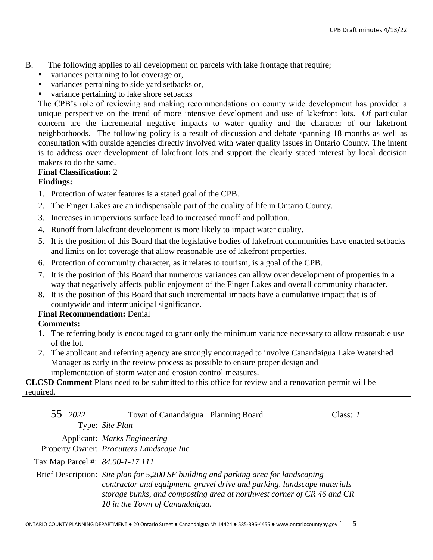- B. The following applies to all development on parcels with lake frontage that require;
	- variances pertaining to lot coverage or,
	- variances pertaining to side yard setbacks or,
	- variance pertaining to lake shore setbacks

The CPB's role of reviewing and making recommendations on county wide development has provided a unique perspective on the trend of more intensive development and use of lakefront lots. Of particular concern are the incremental negative impacts to water quality and the character of our lakefront neighborhoods. The following policy is a result of discussion and debate spanning 18 months as well as consultation with outside agencies directly involved with water quality issues in Ontario County. The intent is to address over development of lakefront lots and support the clearly stated interest by local decision makers to do the same.

#### **Final Classification:** 2

### **Findings:**

- 1. Protection of water features is a stated goal of the CPB.
- 2. The Finger Lakes are an indispensable part of the quality of life in Ontario County.
- 3. Increases in impervious surface lead to increased runoff and pollution.
- 4. Runoff from lakefront development is more likely to impact water quality.
- 5. It is the position of this Board that the legislative bodies of lakefront communities have enacted setbacks and limits on lot coverage that allow reasonable use of lakefront properties.
- 6. Protection of community character, as it relates to tourism, is a goal of the CPB.
- 7. It is the position of this Board that numerous variances can allow over development of properties in a way that negatively affects public enjoyment of the Finger Lakes and overall community character.
- 8. It is the position of this Board that such incremental impacts have a cumulative impact that is of countywide and intermunicipal significance.

### **Final Recommendation:** Denial

### **Comments:**

- 1. The referring body is encouraged to grant only the minimum variance necessary to allow reasonable use of the lot.
- 2. The applicant and referring agency are strongly encouraged to involve Canandaigua Lake Watershed Manager as early in the review process as possible to ensure proper design and implementation of storm water and erosion control measures.

**CLCSD Comment** Plans need to be submitted to this office for review and a renovation permit will be required.

| 55 - 2022                        | Town of Canandaigua Planning Board       |                                                                                                                                                                                                                                          | Class: 1 |
|----------------------------------|------------------------------------------|------------------------------------------------------------------------------------------------------------------------------------------------------------------------------------------------------------------------------------------|----------|
|                                  | Type: Site Plan                          |                                                                                                                                                                                                                                          |          |
|                                  | Applicant: Marks Engineering             |                                                                                                                                                                                                                                          |          |
|                                  | Property Owner: Procutters Landscape Inc |                                                                                                                                                                                                                                          |          |
| Tax Map Parcel #: 84.00-1-17.111 |                                          |                                                                                                                                                                                                                                          |          |
|                                  | 10 in the Town of Canandaigua.           | Brief Description: Site plan for 5,200 SF building and parking area for landscaping<br>contractor and equipment, gravel drive and parking, landscape materials<br>storage bunks, and composting area at northwest corner of CR 46 and CR |          |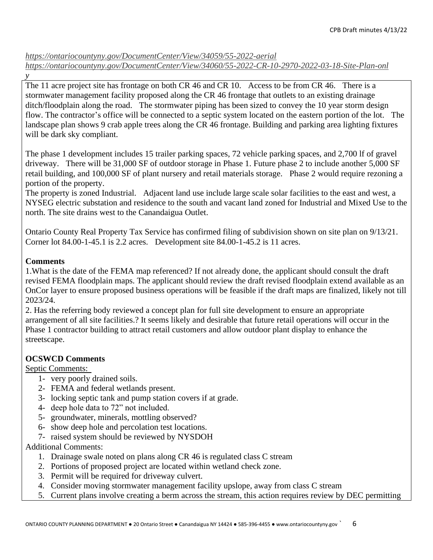*<https://ontariocountyny.gov/DocumentCenter/View/34059/55-2022-aerial> <https://ontariocountyny.gov/DocumentCenter/View/34060/55-2022-CR-10-2970-2022-03-18-Site-Plan-onl>*

The 11 acre project site has frontage on both CR 46 and CR 10. Access to be from CR 46. There is a stormwater management facility proposed along the CR 46 frontage that outlets to an existing drainage ditch/floodplain along the road. The stormwater piping has been sized to convey the 10 year storm design flow. The contractor's office will be connected to a septic system located on the eastern portion of the lot. The landscape plan shows 9 crab apple trees along the CR 46 frontage. Building and parking area lighting fixtures will be dark sky compliant.

The phase 1 development includes 15 trailer parking spaces, 72 vehicle parking spaces, and 2,700 lf of gravel driveway. There will be 31,000 SF of outdoor storage in Phase 1. Future phase 2 to include another 5,000 SF retail building, and 100,000 SF of plant nursery and retail materials storage. Phase 2 would require rezoning a portion of the property.

The property is zoned Industrial. Adjacent land use include large scale solar facilities to the east and west, a NYSEG electric substation and residence to the south and vacant land zoned for Industrial and Mixed Use to the north. The site drains west to the Canandaigua Outlet.

Ontario County Real Property Tax Service has confirmed filing of subdivision shown on site plan on 9/13/21. Corner lot 84.00-1-45.1 is 2.2 acres. Development site 84.00-1-45.2 is 11 acres.

## **Comments**

*y*

1.What is the date of the FEMA map referenced? If not already done, the applicant should consult the draft revised FEMA floodplain maps. The applicant should review the draft revised floodplain extend available as an OnCor layer to ensure proposed business operations will be feasible if the draft maps are finalized, likely not till 2023/24.

2. Has the referring body reviewed a concept plan for full site development to ensure an appropriate arrangement of all site facilities.? It seems likely and desirable that future retail operations will occur in the Phase 1 contractor building to attract retail customers and allow outdoor plant display to enhance the streetscape.

## **OCSWCD Comments**

Septic Comments:

- 1- very poorly drained soils.
- 2- FEMA and federal wetlands present.
- 3- locking septic tank and pump station covers if at grade.
- 4- deep hole data to 72" not included.
- 5- groundwater, minerals, mottling observed?
- 6- show deep hole and percolation test locations.
- 7- raised system should be reviewed by NYSDOH

Additional Comments:

- 1. Drainage swale noted on plans along CR 46 is regulated class C stream
- 2. Portions of proposed project are located within wetland check zone.
- 3. Permit will be required for driveway culvert.
- 4. Consider moving stormwater management facility upslope, away from class C stream
- 5. Current plans involve creating a berm across the stream, this action requires review by DEC permitting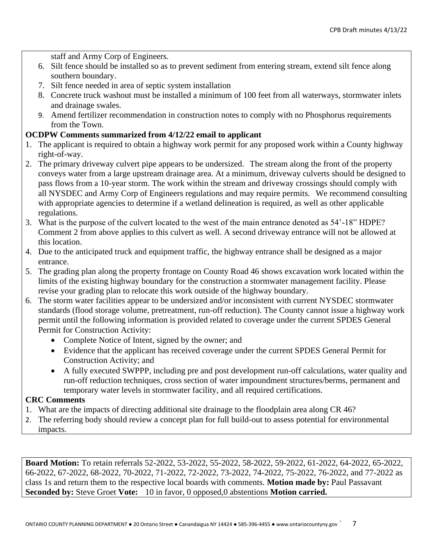staff and Army Corp of Engineers.

- 6. Silt fence should be installed so as to prevent sediment from entering stream, extend silt fence along southern boundary.
- 7. Silt fence needed in area of septic system installation
- 8. Concrete truck washout must be installed a minimum of 100 feet from all waterways, stormwater inlets and drainage swales.
- 9. Amend fertilizer recommendation in construction notes to comply with no Phosphorus requirements from the Town.

#### **OCDPW Comments summarized from 4/12/22 email to applicant**

- 1. The applicant is required to obtain a highway work permit for any proposed work within a County highway right-of-way.
- 2. The primary driveway culvert pipe appears to be undersized. The stream along the front of the property conveys water from a large upstream drainage area. At a minimum, driveway culverts should be designed to pass flows from a 10-year storm. The work within the stream and driveway crossings should comply with all NYSDEC and Army Corp of Engineers regulations and may require permits. We recommend consulting with appropriate agencies to determine if a wetland delineation is required, as well as other applicable regulations.
- 3. What is the purpose of the culvert located to the west of the main entrance denoted as 54'-18" HDPE? Comment 2 from above applies to this culvert as well. A second driveway entrance will not be allowed at this location.
- 4. Due to the anticipated truck and equipment traffic, the highway entrance shall be designed as a major entrance.
- 5. The grading plan along the property frontage on County Road 46 shows excavation work located within the limits of the existing highway boundary for the construction a stormwater management facility. Please revise your grading plan to relocate this work outside of the highway boundary.
- 6. The storm water facilities appear to be undersized and/or inconsistent with current NYSDEC stormwater standards (flood storage volume, pretreatment, run-off reduction). The County cannot issue a highway work permit until the following information is provided related to coverage under the current SPDES General Permit for Construction Activity:
	- Complete Notice of Intent, signed by the owner; and
	- Evidence that the applicant has received coverage under the current SPDES General Permit for Construction Activity; and
	- A fully executed SWPPP, including pre and post development run-off calculations, water quality and run-off reduction techniques, cross section of water impoundment structures/berms, permanent and temporary water levels in stormwater facility, and all required certifications.

### **CRC Comments**

- 1. What are the impacts of directing additional site drainage to the floodplain area along CR 46?
- 2. The referring body should review a concept plan for full build-out to assess potential for environmental impacts.

**Board Motion:** To retain referrals 52-2022, 53-2022, 55-2022, 58-2022, 59-2022, 61-2022, 64-2022, 65-2022, 66-2022, 67-2022, 68-2022, 70-2022, 71-2022, 72-2022, 73-2022, 74-2022, 75-2022, 76-2022, and 77-2022 as class 1s and return them to the respective local boards with comments. **Motion made by:** Paul Passavant **Seconded by:** Steve Groet **Vote:** 10 in favor, 0 opposed,0 abstentions **Motion carried.**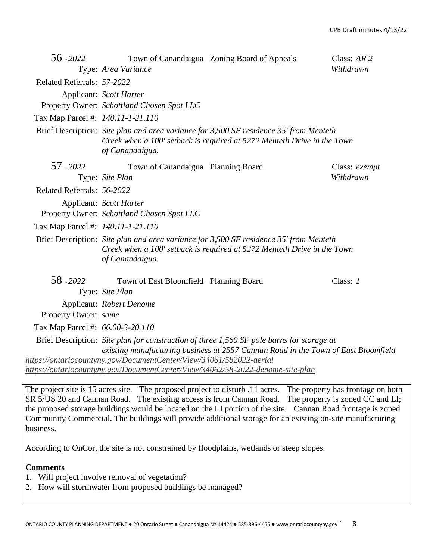| 56 - 2022                         | Type: Area Variance                                                                                                                                   | Town of Canandaigua Zoning Board of Appeals                                                                                                                                     | Class: $AR$ 2<br>Withdrawn |
|-----------------------------------|-------------------------------------------------------------------------------------------------------------------------------------------------------|---------------------------------------------------------------------------------------------------------------------------------------------------------------------------------|----------------------------|
| Related Referrals: 57-2022        |                                                                                                                                                       |                                                                                                                                                                                 |                            |
|                                   | Applicant: Scott Harter<br>Property Owner: Schottland Chosen Spot LLC                                                                                 |                                                                                                                                                                                 |                            |
| Tax Map Parcel #: 140.11-1-21.110 |                                                                                                                                                       |                                                                                                                                                                                 |                            |
|                                   | of Canandaigua.                                                                                                                                       | Brief Description: Site plan and area variance for 3,500 SF residence 35' from Menteth<br>Creek when a 100' setback is required at 5272 Menteth Drive in the Town               |                            |
| 57 - 2022                         | Town of Canandaigua Planning Board<br>Type: Site Plan                                                                                                 |                                                                                                                                                                                 | Class: exempt<br>Withdrawn |
| Related Referrals: 56-2022        |                                                                                                                                                       |                                                                                                                                                                                 |                            |
|                                   | Applicant: Scott Harter<br>Property Owner: Schottland Chosen Spot LLC                                                                                 |                                                                                                                                                                                 |                            |
| Tax Map Parcel #: 140.11-1-21.110 |                                                                                                                                                       |                                                                                                                                                                                 |                            |
|                                   | of Canandaigua.                                                                                                                                       | Brief Description: Site plan and area variance for 3,500 SF residence 35' from Menteth<br>Creek when a 100' setback is required at 5272 Menteth Drive in the Town               |                            |
| 58 - 2022                         | Town of East Bloomfield Planning Board<br>Type: Site Plan                                                                                             |                                                                                                                                                                                 | Class: 1                   |
|                                   | Applicant: Robert Denome                                                                                                                              |                                                                                                                                                                                 |                            |
| Property Owner: same              |                                                                                                                                                       |                                                                                                                                                                                 |                            |
| Tax Map Parcel #: 66.00-3-20.110  |                                                                                                                                                       |                                                                                                                                                                                 |                            |
|                                   |                                                                                                                                                       | Brief Description: Site plan for construction of three 1,560 SF pole barns for storage at<br>existing manufacturing business at 2557 Cannan Road in the Town of East Bloomfield |                            |
|                                   | https://ontariocountyny.gov/DocumentCenter/View/34061/582022-aerial<br>https://ontariocountyny.gov/DocumentCenter/View/34062/58-2022-denome-site-plan |                                                                                                                                                                                 |                            |

The project site is 15 acres site. The proposed project to disturb .11 acres. The property has frontage on both SR 5/US 20 and Cannan Road. The existing access is from Cannan Road. The property is zoned CC and LI; the proposed storage buildings would be located on the LI portion of the site. Cannan Road frontage is zoned Community Commercial. The buildings will provide additional storage for an existing on-site manufacturing business.

According to OnCor, the site is not constrained by floodplains, wetlands or steep slopes.

#### **Comments**

- 1. Will project involve removal of vegetation?
- 2. How will stormwater from proposed buildings be managed?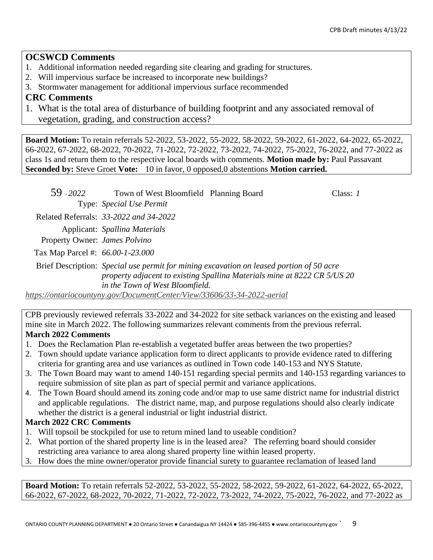## **OCSWCD Comments**

- 1. Additional information needed regarding site clearing and grading for structures.
- 2. Will impervious surface be increased to incorporate new buildings?
- 3. Stormwater management for additional impervious surface recommended

## **CRC Comments**

1. What is the total area of disturbance of building footprint and any associated removal of vegetation, grading, and construction access?

**Board Motion:** To retain referrals 52-2022, 53-2022, 55-2022, 58-2022, 59-2022, 61-2022, 64-2022, 65-2022, 66-2022, 67-2022, 68-2022, 70-2022, 71-2022, 72-2022, 73-2022, 74-2022, 75-2022, 76-2022, and 77-2022 as class 1s and return them to the respective local boards with comments. **Motion made by:** Paul Passavant **Seconded by:** Steve Groet **Vote:** 10 in favor, 0 opposed,0 abstentions **Motion carried.**

| 59 - 2022                        | Town of West Bloomfield Planning Board                                  |                                                                                                                                                                      | Class: 1 |
|----------------------------------|-------------------------------------------------------------------------|----------------------------------------------------------------------------------------------------------------------------------------------------------------------|----------|
|                                  | Type: Special Use Permit                                                |                                                                                                                                                                      |          |
|                                  | Related Referrals: 33-2022 and 34-2022                                  |                                                                                                                                                                      |          |
|                                  | Applicant: Spallina Materials                                           |                                                                                                                                                                      |          |
| Property Owner: James Polvino    |                                                                         |                                                                                                                                                                      |          |
| Tax Map Parcel #: 66.00-1-23.000 |                                                                         |                                                                                                                                                                      |          |
|                                  |                                                                         | Brief Description: Special use permit for mining excavation on leased portion of 50 acre<br>property adjacent to existing Spallina Materials mine at 8222 CR 5/US 20 |          |
|                                  | in the Town of West Bloomfield.                                         |                                                                                                                                                                      |          |
|                                  | https://ontariocountyny.gov/DocumentCenter/View/33606/33-34-2022-aerial |                                                                                                                                                                      |          |

CPB previously reviewed referrals 33-2022 and 34-2022 for site setback variances on the existing and leased mine site in March 2022. The following summarizes relevant comments from the previous referral. **March 2022 Comments**

- 1. Does the Reclamation Plan re-establish a vegetated buffer areas between the two properties?
- 2. Town should update variance application form to direct applicants to provide evidence rated to differing criteria for granting area and use variances as outlined in Town code 140-153 and NYS Statute.
- 3. The Town Board may want to amend 140-151 regarding special permits and 140-153 regarding variances to require submission of site plan as part of special permit and variance applications.
- 4. The Town Board should amend its zoning code and/or map to use same district name for industrial district and applicable regulations. The district name, map, and purpose regulations should also clearly indicate whether the district is a general industrial or light industrial district.

## **March 2022 CRC Comments**

- 1. Will topsoil be stockpiled for use to return mined land to useable condition?
- 2. What portion of the shared property line is in the leased area? The referring board should consider restricting area variance to area along shared property line within leased property.
- 3. How does the mine owner/operator provide financial surety to guarantee reclamation of leased land

**Board Motion:** To retain referrals 52-2022, 53-2022, 55-2022, 58-2022, 59-2022, 61-2022, 64-2022, 65-2022, 66-2022, 67-2022, 68-2022, 70-2022, 71-2022, 72-2022, 73-2022, 74-2022, 75-2022, 76-2022, and 77-2022 as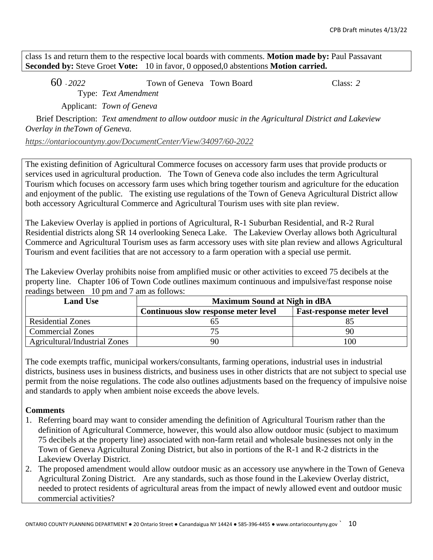class 1s and return them to the respective local boards with comments. **Motion made by:** Paul Passavant **Seconded by:** Steve Groet **Vote:** 10 in favor, 0 opposed,0 abstentions **Motion carried.**

60 - *2022* Town of Geneva Town Board Class: *2* Type: *Text Amendment*

Applicant: *Town of Geneva*

Brief Description: *Text amendment to allow outdoor music in the Agricultural District and Lakeview Overlay in theTown of Geneva.*

*<https://ontariocountyny.gov/DocumentCenter/View/34097/60-2022>*

The existing definition of Agricultural Commerce focuses on accessory farm uses that provide products or services used in agricultural production. The Town of Geneva code also includes the term Agricultural Tourism which focuses on accessory farm uses which bring together tourism and agriculture for the education and enjoyment of the public. The existing use regulations of the Town of Geneva Agricultural District allow both accessory Agricultural Commerce and Agricultural Tourism uses with site plan review.

The Lakeview Overlay is applied in portions of Agricultural, R-1 Suburban Residential, and R-2 Rural Residential districts along SR 14 overlooking Seneca Lake. The Lakeview Overlay allows both Agricultural Commerce and Agricultural Tourism uses as farm accessory uses with site plan review and allows Agricultural Tourism and event facilities that are not accessory to a farm operation with a special use permit.

The Lakeview Overlay prohibits noise from amplified music or other activities to exceed 75 decibels at the property line. Chapter 106 of Town Code outlines maximum continuous and impulsive/fast response noise readings between 10 pm and 7 am as follows:

| <b>Land Use</b>               | <b>Maximum Sound at Nigh in dBA</b>  |                                  |  |  |
|-------------------------------|--------------------------------------|----------------------------------|--|--|
|                               | Continuous slow response meter level | <b>Fast-response meter level</b> |  |  |
| <b>Residential Zones</b>      |                                      |                                  |  |  |
| <b>Commercial Zones</b>       |                                      |                                  |  |  |
| Agricultural/Industrial Zones | 90                                   | 00                               |  |  |

The code exempts traffic, municipal workers/consultants, farming operations, industrial uses in industrial districts, business uses in business districts, and business uses in other districts that are not subject to special use permit from the noise regulations. The code also outlines adjustments based on the frequency of impulsive noise and standards to apply when ambient noise exceeds the above levels.

### **Comments**

- 1. Referring board may want to consider amending the definition of Agricultural Tourism rather than the definition of Agricultural Commerce, however, this would also allow outdoor music (subject to maximum 75 decibels at the property line) associated with non-farm retail and wholesale businesses not only in the Town of Geneva Agricultural Zoning District, but also in portions of the R-1 and R-2 districts in the Lakeview Overlay District.
- 2. The proposed amendment would allow outdoor music as an accessory use anywhere in the Town of Geneva Agricultural Zoning District. Are any standards, such as those found in the Lakeview Overlay district, needed to protect residents of agricultural areas from the impact of newly allowed event and outdoor music commercial activities?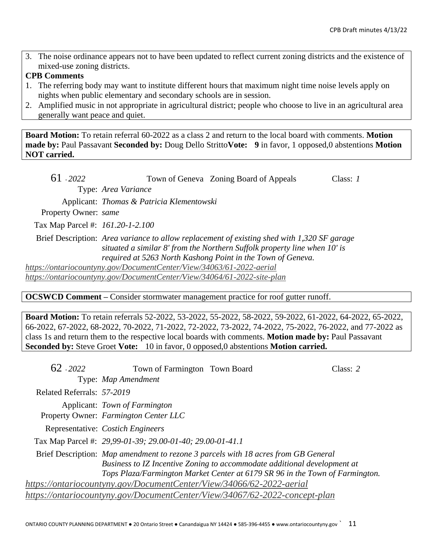3. The noise ordinance appears not to have been updated to reflect current zoning districts and the existence of mixed-use zoning districts.

#### **CPB Comments**

- 1. The referring body may want to institute different hours that maximum night time noise levels apply on nights when public elementary and secondary schools are in session.
- 2. Amplified music in not appropriate in agricultural district; people who choose to live in an agricultural area generally want peace and quiet.

**Board Motion:** To retain referral 60-2022 as a class 2 and return to the local board with comments. **Motion made by:** Paul Passavant **Seconded by:** Doug Dello Stritto**Vote: 9** in favor, 1 opposed,0 abstentions **Motion NOT carried.**

| 61 - 2022                        |                                                                         | Town of Geneva Zoning Board of Appeals                                                                                                                                   | Class: $I$ |
|----------------------------------|-------------------------------------------------------------------------|--------------------------------------------------------------------------------------------------------------------------------------------------------------------------|------------|
|                                  | Type: Area Variance                                                     |                                                                                                                                                                          |            |
|                                  | Applicant: Thomas & Patricia Klementowski                               |                                                                                                                                                                          |            |
| Property Owner: same             |                                                                         |                                                                                                                                                                          |            |
| Tax Map Parcel #: 161.20-1-2.100 |                                                                         |                                                                                                                                                                          |            |
|                                  | required at 5263 North Kashong Point in the Town of Geneva.             | Brief Description: Area variance to allow replacement of existing shed with 1,320 SF garage<br>situated a similar 8' from the Northern Suffolk property line when 10' is |            |
|                                  | https://ontariocountyny.gov/DocumentCenter/View/34063/61-2022-aerial    |                                                                                                                                                                          |            |
|                                  | https://ontariocountyny.gov/DocumentCenter/View/34064/61-2022-site-plan |                                                                                                                                                                          |            |

**OCSWCD Comment –** Consider stormwater management practice for roof gutter runoff.

**Board Motion:** To retain referrals 52-2022, 53-2022, 55-2022, 58-2022, 59-2022, 61-2022, 64-2022, 65-2022, 66-2022, 67-2022, 68-2022, 70-2022, 71-2022, 72-2022, 73-2022, 74-2022, 75-2022, 76-2022, and 77-2022 as class 1s and return them to the respective local boards with comments. **Motion made by:** Paul Passavant **Seconded by:** Steve Groet **Vote:** 10 in favor, 0 opposed,0 abstentions **Motion carried.**

| $62 - 2022$                | Town of Farmington Town Board                                        |                                                                                                                                                                                                                                                | Class: $2$ |
|----------------------------|----------------------------------------------------------------------|------------------------------------------------------------------------------------------------------------------------------------------------------------------------------------------------------------------------------------------------|------------|
|                            | Type: Map Amendment                                                  |                                                                                                                                                                                                                                                |            |
| Related Referrals: 57-2019 |                                                                      |                                                                                                                                                                                                                                                |            |
|                            | Applicant: Town of Farmington                                        |                                                                                                                                                                                                                                                |            |
|                            | Property Owner: Farmington Center LLC                                |                                                                                                                                                                                                                                                |            |
|                            | Representative: Costich Engineers                                    |                                                                                                                                                                                                                                                |            |
|                            | Tax Map Parcel #: 29,99-01-39; 29.00-01-40; 29.00-01-41.1            |                                                                                                                                                                                                                                                |            |
|                            |                                                                      | Brief Description: Map amendment to rezone 3 parcels with 18 acres from GB General<br>Business to IZ Incentive Zoning to accommodate additional development at<br>Tops Plaza/Farmington Market Center at 6179 SR 96 in the Town of Farmington. |            |
|                            | https://ontariocountyny.gov/DocumentCenter/View/34066/62-2022-aerial |                                                                                                                                                                                                                                                |            |
|                            |                                                                      | https://ontariocountyny.gov/DocumentCenter/View/34067/62-2022-concept-plan                                                                                                                                                                     |            |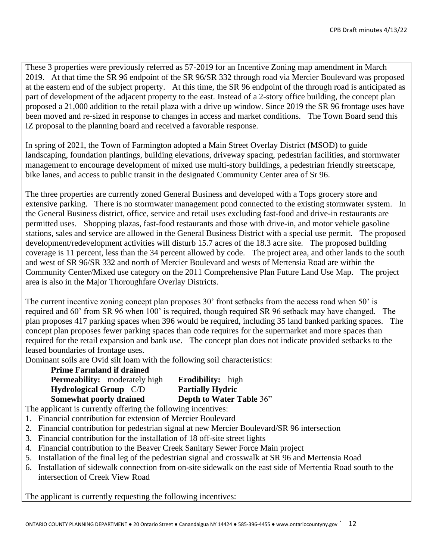These 3 properties were previously referred as 57-2019 for an Incentive Zoning map amendment in March 2019. At that time the SR 96 endpoint of the SR 96/SR 332 through road via Mercier Boulevard was proposed at the eastern end of the subject property. At this time, the SR 96 endpoint of the through road is anticipated as part of development of the adjacent property to the east. Instead of a 2-story office building, the concept plan proposed a 21,000 addition to the retail plaza with a drive up window. Since 2019 the SR 96 frontage uses have been moved and re-sized in response to changes in access and market conditions. The Town Board send this IZ proposal to the planning board and received a favorable response.

In spring of 2021, the Town of Farmington adopted a Main Street Overlay District (MSOD) to guide landscaping, foundation plantings, building elevations, driveway spacing, pedestrian facilities, and stormwater management to encourage development of mixed use multi-story buildings, a pedestrian friendly streetscape, bike lanes, and access to public transit in the designated Community Center area of Sr 96.

The three properties are currently zoned General Business and developed with a Tops grocery store and extensive parking. There is no stormwater management pond connected to the existing stormwater system. In the General Business district, office, service and retail uses excluding fast-food and drive-in restaurants are permitted uses. Shopping plazas, fast-food restaurants and those with drive-in, and motor vehicle gasoline stations, sales and service are allowed in the General Business District with a special use permit. The proposed development/redevelopment activities will disturb 15.7 acres of the 18.3 acre site. The proposed building coverage is 11 percent, less than the 34 percent allowed by code. The project area, and other lands to the south and west of SR 96/SR 332 and north of Mercier Boulevard and wests of Mertensia Road are within the Community Center/Mixed use category on the 2011 Comprehensive Plan Future Land Use Map. The project area is also in the Major Thoroughfare Overlay Districts.

The current incentive zoning concept plan proposes 30' front setbacks from the access road when 50' is required and 60' from SR 96 when 100' is required, though required SR 96 setback may have changed. The plan proposes 417 parking spaces when 396 would be required, including 35 land banked parking spaces. The concept plan proposes fewer parking spaces than code requires for the supermarket and more spaces than required for the retail expansion and bank use. The concept plan does not indicate provided setbacks to the leased boundaries of frontage uses.

Dominant soils are Ovid silt loam with the following soil characteristics:

| <b>Prime Farmland if drained</b>     |                                 |
|--------------------------------------|---------------------------------|
| <b>Permeability:</b> moderately high | <b>Erodibility:</b> high        |
| <b>Hydrological Group</b> C/D        | <b>Partially Hydric</b>         |
| Somewhat poorly drained              | <b>Depth to Water Table 36"</b> |

The applicant is currently offering the following incentives:

- 1. Financial contribution for extension of Mercier Boulevard
- 2. Financial contribution for pedestrian signal at new Mercier Boulevard/SR 96 intersection
- 3. Financial contribution for the installation of 18 off-site street lights
- 4. Financial contribution to the Beaver Creek Sanitary Sewer Force Main project
- 5. Installation of the final leg of the pedestrian signal and crosswalk at SR 96 and Mertensia Road
- 6. Installation of sidewalk connection from on-site sidewalk on the east side of Mertentia Road south to the intersection of Creek View Road

The applicant is currently requesting the following incentives: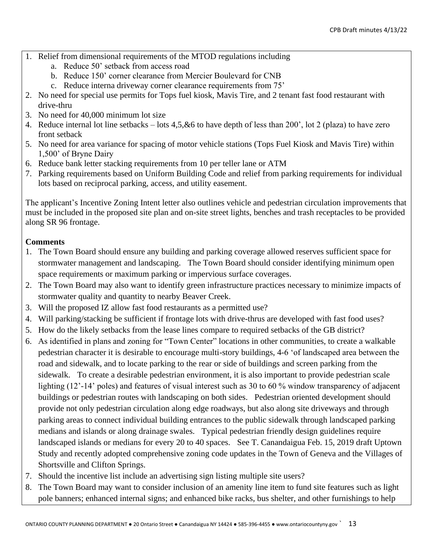- 1. Relief from dimensional requirements of the MTOD regulations including
	- a. Reduce 50' setback from access road
	- b. Reduce 150' corner clearance from Mercier Boulevard for CNB
	- c. Reduce interna driveway corner clearance requirements from 75'
- 2. No need for special use permits for Tops fuel kiosk, Mavis Tire, and 2 tenant fast food restaurant with drive-thru
- 3. No need for 40,000 minimum lot size
- 4. Reduce internal lot line setbacks lots 4,5,&6 to have depth of less than 200', lot 2 (plaza) to have zero front setback
- 5. No need for area variance for spacing of motor vehicle stations (Tops Fuel Kiosk and Mavis Tire) within 1,500' of Bryne Dairy
- 6. Reduce bank letter stacking requirements from 10 per teller lane or ATM
- 7. Parking requirements based on Uniform Building Code and relief from parking requirements for individual lots based on reciprocal parking, access, and utility easement.

The applicant's Incentive Zoning Intent letter also outlines vehicle and pedestrian circulation improvements that must be included in the proposed site plan and on-site street lights, benches and trash receptacles to be provided along SR 96 frontage.

## **Comments**

- 1. The Town Board should ensure any building and parking coverage allowed reserves sufficient space for stormwater management and landscaping. The Town Board should consider identifying minimum open space requirements or maximum parking or impervious surface coverages.
- 2. The Town Board may also want to identify green infrastructure practices necessary to minimize impacts of stormwater quality and quantity to nearby Beaver Creek.
- 3. Will the proposed IZ allow fast food restaurants as a permitted use?
- 4. Will parking/stacking be sufficient if frontage lots with drive-thrus are developed with fast food uses?
- 5. How do the likely setbacks from the lease lines compare to required setbacks of the GB district?
- 6. As identified in plans and zoning for "Town Center" locations in other communities, to create a walkable pedestrian character it is desirable to encourage multi-story buildings, 4-6 'of landscaped area between the road and sidewalk, and to locate parking to the rear or side of buildings and screen parking from the sidewalk. To create a desirable pedestrian environment, it is also important to provide pedestrian scale lighting (12'-14' poles) and features of visual interest such as 30 to 60 % window transparency of adjacent buildings or pedestrian routes with landscaping on both sides. Pedestrian oriented development should provide not only pedestrian circulation along edge roadways, but also along site driveways and through parking areas to connect individual building entrances to the public sidewalk through landscaped parking medians and islands or along drainage swales. Typical pedestrian friendly design guidelines require landscaped islands or medians for every 20 to 40 spaces. See T. Canandaigua Feb. 15, 2019 draft Uptown Study and recently adopted comprehensive zoning code updates in the Town of Geneva and the Villages of Shortsville and Clifton Springs.
- 7. Should the incentive list include an advertising sign listing multiple site users?
- 8. The Town Board may want to consider inclusion of an amenity line item to fund site features such as light pole banners; enhanced internal signs; and enhanced bike racks, bus shelter, and other furnishings to help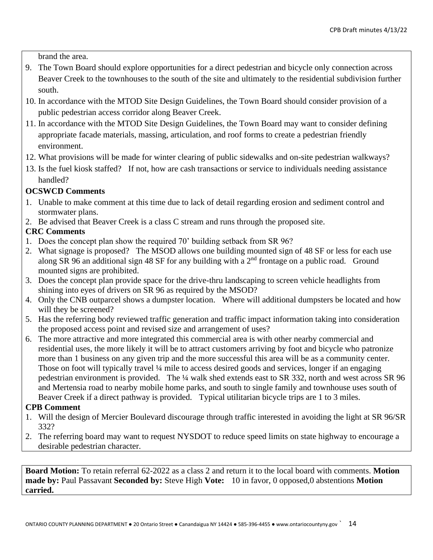brand the area.

- 9. The Town Board should explore opportunities for a direct pedestrian and bicycle only connection across Beaver Creek to the townhouses to the south of the site and ultimately to the residential subdivision further south.
- 10. In accordance with the MTOD Site Design Guidelines, the Town Board should consider provision of a public pedestrian access corridor along Beaver Creek.
- 11. In accordance with the MTOD Site Design Guidelines, the Town Board may want to consider defining appropriate facade materials, massing, articulation, and roof forms to create a pedestrian friendly environment.
- 12. What provisions will be made for winter clearing of public sidewalks and on-site pedestrian walkways?
- 13. Is the fuel kiosk staffed? If not, how are cash transactions or service to individuals needing assistance handled?

## **OCSWCD Comments**

- 1. Unable to make comment at this time due to lack of detail regarding erosion and sediment control and stormwater plans.
- 2. Be advised that Beaver Creek is a class C stream and runs through the proposed site.

## **CRC Comments**

- 1. Does the concept plan show the required 70' building setback from SR 96?
- 2. What signage is proposed? The MSOD allows one building mounted sign of 48 SF or less for each use along SR 96 an additional sign 48 SF for any building with a  $2<sup>nd</sup>$  frontage on a public road. Ground mounted signs are prohibited.
- 3. Does the concept plan provide space for the drive-thru landscaping to screen vehicle headlights from shining into eyes of drivers on SR 96 as required by the MSOD?
- 4. Only the CNB outparcel shows a dumpster location. Where will additional dumpsters be located and how will they be screened?
- 5. Has the referring body reviewed traffic generation and traffic impact information taking into consideration the proposed access point and revised size and arrangement of uses?
- 6. The more attractive and more integrated this commercial area is with other nearby commercial and residential uses, the more likely it will be to attract customers arriving by foot and bicycle who patronize more than 1 business on any given trip and the more successful this area will be as a community center. Those on foot will typically travel ¼ mile to access desired goods and services, longer if an engaging pedestrian environment is provided. The ¼ walk shed extends east to SR 332, north and west across SR 96 and Mertensia road to nearby mobile home parks, and south to single family and townhouse uses south of Beaver Creek if a direct pathway is provided. Typical utilitarian bicycle trips are 1 to 3 miles.

### **CPB Comment**

- 1. Will the design of Mercier Boulevard discourage through traffic interested in avoiding the light at SR 96/SR 332?
- 2. The referring board may want to request NYSDOT to reduce speed limits on state highway to encourage a desirable pedestrian character.

**Board Motion:** To retain referral 62-2022 as a class 2 and return it to the local board with comments. **Motion made by:** Paul Passavant **Seconded by:** Steve High **Vote:** 10 in favor, 0 opposed,0 abstentions **Motion carried.**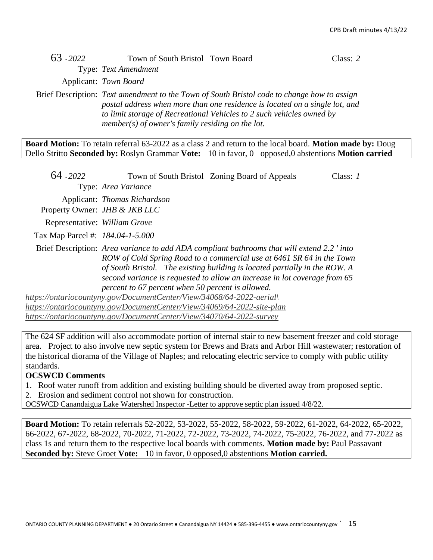# 63 - *2022* Town of South Bristol Town Board Class: *2*

Type: *Text Amendment*

Applicant: *Town Board*

Brief Description: *Text amendment to the Town of South Bristol code to change how to assign postal address when more than one residence is located on a single lot, and to limit storage of Recreational Vehicles to 2 such vehicles owned by member(s) of owner's family residing on the lot.*

**Board Motion:** To retain referral 63-2022 as a class 2 and return to the local board. **Motion made by:** Doug Dello Stritto **Seconded by:** Roslyn Grammar **Vote:** 10 in favor, 0 opposed,0 abstentions **Motion carried**

| 64 - 2022                        |                                                                                                                                                                                                                                                                                                                                                                                                             | Town of South Bristol Zoning Board of Appeals                                                                                                                                                                                                                                                                                  | Class: $1$ |
|----------------------------------|-------------------------------------------------------------------------------------------------------------------------------------------------------------------------------------------------------------------------------------------------------------------------------------------------------------------------------------------------------------------------------------------------------------|--------------------------------------------------------------------------------------------------------------------------------------------------------------------------------------------------------------------------------------------------------------------------------------------------------------------------------|------------|
|                                  | Type: Area Variance                                                                                                                                                                                                                                                                                                                                                                                         |                                                                                                                                                                                                                                                                                                                                |            |
|                                  | Applicant: Thomas Richardson                                                                                                                                                                                                                                                                                                                                                                                |                                                                                                                                                                                                                                                                                                                                |            |
|                                  | Property Owner: <i>JHB &amp; JKB LLC</i>                                                                                                                                                                                                                                                                                                                                                                    |                                                                                                                                                                                                                                                                                                                                |            |
| Representative: William Grove    |                                                                                                                                                                                                                                                                                                                                                                                                             |                                                                                                                                                                                                                                                                                                                                |            |
| Tax Map Parcel #: 184.04-1-5.000 |                                                                                                                                                                                                                                                                                                                                                                                                             |                                                                                                                                                                                                                                                                                                                                |            |
|                                  | percent to 67 percent when 50 percent is allowed.                                                                                                                                                                                                                                                                                                                                                           | Brief Description: Area variance to add ADA compliant bathrooms that will extend 2.2 'into<br>ROW of Cold Spring Road to a commercial use at 6461 SR 64 in the Town<br>of South Bristol. The existing building is located partially in the ROW. A<br>second variance is requested to allow an increase in lot coverage from 65 |            |
| 1., // , <b>·</b>                | https://ontariocountyny.gov/DocumentCenter/View/34068/64-2022-aerial\<br>$\overline{D}$ and $\overline{D}$ and $\overline{D}$ and $\overline{D}$ and $\overline{D}$ and $\overline{D}$ and $\overline{D}$ and $\overline{D}$ and $\overline{D}$ and $\overline{D}$ and $\overline{D}$ and $\overline{D}$ and $\overline{D}$ and $\overline{D}$ and $\overline{D}$ and $\overline{D}$ and $\overline{D}$ and |                                                                                                                                                                                                                                                                                                                                |            |

*<https://ontariocountyny.gov/DocumentCenter/View/34069/64-2022-site-plan> <https://ontariocountyny.gov/DocumentCenter/View/34070/64-2022-survey>*

The 624 SF addition will also accommodate portion of internal stair to new basement freezer and cold storage area. Project to also involve new septic system for Brews and Brats and Arbor Hill wastewater; restoration of the historical diorama of the Village of Naples; and relocating electric service to comply with public utility standards.

### **OCSWCD Comments**

- 1. Roof water runoff from addition and existing building should be diverted away from proposed septic.
- 2. Erosion and sediment control not shown for construction.
- OCSWCD Canandaigua Lake Watershed Inspector -Letter to approve septic plan issued 4/8/22.

**Board Motion:** To retain referrals 52-2022, 53-2022, 55-2022, 58-2022, 59-2022, 61-2022, 64-2022, 65-2022, 66-2022, 67-2022, 68-2022, 70-2022, 71-2022, 72-2022, 73-2022, 74-2022, 75-2022, 76-2022, and 77-2022 as class 1s and return them to the respective local boards with comments. **Motion made by:** Paul Passavant **Seconded by:** Steve Groet **Vote:** 10 in favor, 0 opposed,0 abstentions **Motion carried.**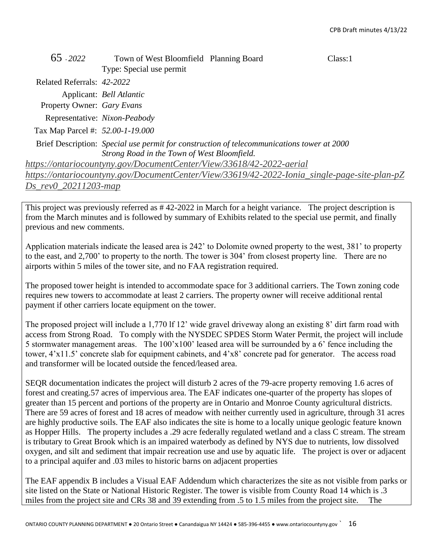| 65 - 2022                        | Town of West Bloomfield Planning Board                               |                                                                                              | Class:1 |
|----------------------------------|----------------------------------------------------------------------|----------------------------------------------------------------------------------------------|---------|
|                                  | Type: Special use permit                                             |                                                                                              |         |
| Related Referrals: 42-2022       |                                                                      |                                                                                              |         |
|                                  | Applicant: Bell Atlantic                                             |                                                                                              |         |
| Property Owner: Gary Evans       |                                                                      |                                                                                              |         |
|                                  | Representative: Nixon-Peabody                                        |                                                                                              |         |
| Tax Map Parcel #: 52.00-1-19.000 |                                                                      |                                                                                              |         |
|                                  |                                                                      | Brief Description: Special use permit for construction of telecommunications tower at 2000   |         |
|                                  | Strong Road in the Town of West Bloomfield.                          |                                                                                              |         |
|                                  | https://ontariocountyny.gov/DocumentCenter/View/33618/42-2022-aerial |                                                                                              |         |
|                                  |                                                                      | https://ontariocountyny.gov/DocumentCenter/View/33619/42-2022-Ionia_single-page-site-plan-pZ |         |
| Ds rev0 20211203-map             |                                                                      |                                                                                              |         |

This project was previously referred as # 42-2022 in March for a height variance. The project description is from the March minutes and is followed by summary of Exhibits related to the special use permit, and finally previous and new comments.

Application materials indicate the leased area is 242' to Dolomite owned property to the west, 381' to property to the east, and 2,700' to property to the north. The tower is 304' from closest property line. There are no airports within 5 miles of the tower site, and no FAA registration required.

The proposed tower height is intended to accommodate space for 3 additional carriers. The Town zoning code requires new towers to accommodate at least 2 carriers. The property owner will receive additional rental payment if other carriers locate equipment on the tower.

The proposed project will include a 1,770 lf 12' wide gravel driveway along an existing 8' dirt farm road with access from Strong Road. To comply with the NYSDEC SPDES Storm Water Permit, the project will include 5 stormwater management areas. The 100'x100' leased area will be surrounded by a 6' fence including the tower, 4'x11.5' concrete slab for equipment cabinets, and 4'x8' concrete pad for generator. The access road and transformer will be located outside the fenced/leased area.

SEQR documentation indicates the project will disturb 2 acres of the 79-acre property removing 1.6 acres of forest and creating.57 acres of impervious area. The EAF indicates one-quarter of the property has slopes of greater than 15 percent and portions of the property are in Ontario and Monroe County agricultural districts. There are 59 acres of forest and 18 acres of meadow with neither currently used in agriculture, through 31 acres are highly productive soils. The EAF also indicates the site is home to a locally unique geologic feature known as Hopper Hills. The property includes a .29 acre federally regulated wetland and a class C stream. The stream is tributary to Great Brook which is an impaired waterbody as defined by NYS due to nutrients, low dissolved oxygen, and silt and sediment that impair recreation use and use by aquatic life. The project is over or adjacent to a principal aquifer and .03 miles to historic barns on adjacent properties

The EAF appendix B includes a Visual EAF Addendum which characterizes the site as not visible from parks or site listed on the State or National Historic Register. The tower is visible from County Road 14 which is .3 miles from the project site and CRs 38 and 39 extending from .5 to 1.5 miles from the project site. The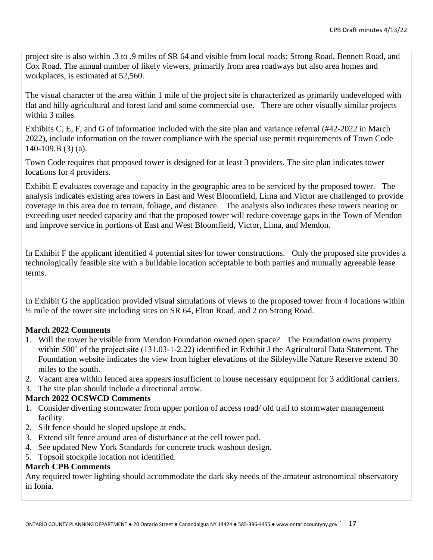project site is also within .3 to .9 miles of SR 64 and visible from local roads: Strong Road, Bennett Road, and Cox Road. The annual number of likely viewers, primarily from area roadways but also area homes and workplaces, is estimated at 52,560.

The visual character of the area within 1 mile of the project site is characterized as primarily undeveloped with flat and hilly agricultural and forest land and some commercial use. There are other visually similar projects within 3 miles.

Exhibits C, E, F, and G of information included with the site plan and variance referral (#42-2022 in March 2022), include information on the tower compliance with the special use permit requirements of Town Code 140-109.B (3) (a).

Town Code requires that proposed tower is designed for at least 3 providers. The site plan indicates tower locations for 4 providers.

Exhibit E evaluates coverage and capacity in the geographic area to be serviced by the proposed tower. The analysis indicates existing area towers in East and West Bloomfield, Lima and Victor are challenged to provide coverage in this area due to terrain, foliage, and distance. The analysis also indicates these towers nearing or exceeding user needed capacity and that the proposed tower will reduce coverage gaps in the Town of Mendon and improve service in portions of East and West Bloomfield, Victor, Lima, and Mendon.

In Exhibit F the applicant identified 4 potential sites for tower constructions. Only the proposed site provides a technologically feasible site with a buildable location acceptable to both parties and mutually agreeable lease terms.

In Exhibit G the application provided visual simulations of views to the proposed tower from 4 locations within ½ mile of the tower site including sites on SR 64, Elton Road, and 2 on Strong Road.

### **March 2022 Comments**

- 1. Will the tower be visible from Mendon Foundation owned open space? The Foundation owns property within 500' of the project site (131.03-1-2.22) identified in Exhibit J the Agricultural Data Statement. The Foundation website indicates the view from higher elevations of the Sibleyville Nature Reserve extend 30 miles to the south.
- 2. Vacant area within fenced area appears insufficient to house necessary equipment for 3 additional carriers.
- 3. The site plan should include a directional arrow.

### **March 2022 OCSWCD Comments**

- 1. Consider diverting stormwater from upper portion of access road/ old trail to stormwater management facility.
- 2. Silt fence should be sloped upslope at ends.
- 3. Extend silt fence around area of disturbance at the cell tower pad.
- 4. See updated New York Standards for concrete truck washout design.
- 5. Topsoil stockpile location not identified.

## **March CPB Comments**

Any required tower lighting should accommodate the dark sky needs of the amateur astronomical observatory in Ionia.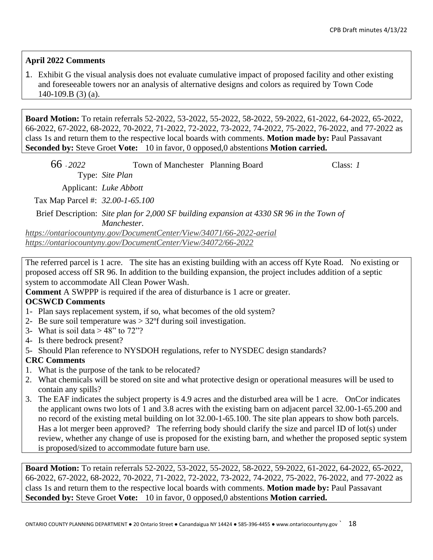### **April 2022 Comments**

1. Exhibit G the visual analysis does not evaluate cumulative impact of proposed facility and other existing and foreseeable towers nor an analysis of alternative designs and colors as required by Town Code 140-109.B (3) (a).

**Board Motion:** To retain referrals 52-2022, 53-2022, 55-2022, 58-2022, 59-2022, 61-2022, 64-2022, 65-2022, 66-2022, 67-2022, 68-2022, 70-2022, 71-2022, 72-2022, 73-2022, 74-2022, 75-2022, 76-2022, and 77-2022 as class 1s and return them to the respective local boards with comments. **Motion made by:** Paul Passavant **Seconded by:** Steve Groet **Vote:** 10 in favor, 0 opposed,0 abstentions **Motion carried.**

| 66 - 2022                        | Town of Manchester Planning Board | Class: 1 |
|----------------------------------|-----------------------------------|----------|
|                                  | Type: Site Plan                   |          |
|                                  | Applicant: Luke Abbott            |          |
| Tax Map Parcel #: 32.00-1-65.100 |                                   |          |

Brief Description: *Site plan for 2,000 SF building expansion at 4330 SR 96 in the Town of Manchester.*

*<https://ontariocountyny.gov/DocumentCenter/View/34071/66-2022-aerial> <https://ontariocountyny.gov/DocumentCenter/View/34072/66-2022>*

The referred parcel is 1 acre. The site has an existing building with an access off Kyte Road. No existing or proposed access off SR 96. In addition to the building expansion, the project includes addition of a septic system to accommodate All Clean Power Wash.

**Comment** A SWPPP is required if the area of disturbance is 1 acre or greater.

### **OCSWCD Comments**

- 1- Plan says replacement system, if so, what becomes of the old system?
- 2- Be sure soil temperature was > 32ºf during soil investigation.
- 3- What is soil data  $> 48$ " to  $72$ "?
- 4- Is there bedrock present?
- 5- Should Plan reference to NYSDOH regulations, refer to NYSDEC design standards?

### **CRC Comments**

- 1. What is the purpose of the tank to be relocated?
- 2. What chemicals will be stored on site and what protective design or operational measures will be used to contain any spills?
- 3. The EAF indicates the subject property is 4.9 acres and the disturbed area will be 1 acre. OnCor indicates the applicant owns two lots of 1 and 3.8 acres with the existing barn on adjacent parcel 32.00-1-65.200 and no record of the existing metal building on lot 32.00-1-65.100. The site plan appears to show both parcels. Has a lot merger been approved? The referring body should clarify the size and parcel ID of lot(s) under review, whether any change of use is proposed for the existing barn, and whether the proposed septic system is proposed/sized to accommodate future barn use.

**Board Motion:** To retain referrals 52-2022, 53-2022, 55-2022, 58-2022, 59-2022, 61-2022, 64-2022, 65-2022, 66-2022, 67-2022, 68-2022, 70-2022, 71-2022, 72-2022, 73-2022, 74-2022, 75-2022, 76-2022, and 77-2022 as class 1s and return them to the respective local boards with comments. **Motion made by:** Paul Passavant **Seconded by:** Steve Groet **Vote:** 10 in favor, 0 opposed,0 abstentions **Motion carried.**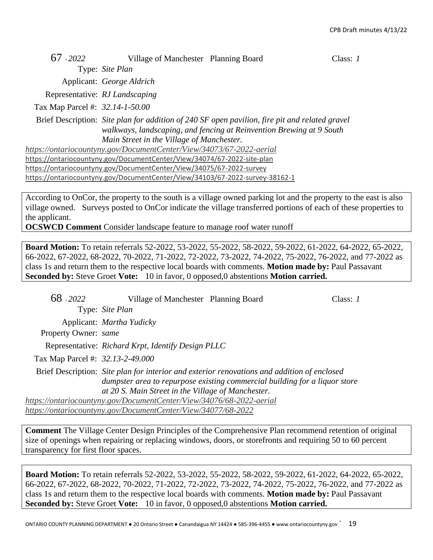| $67 - 2022$ |  | Village of Manchester Planning Board | Class: $1$ |
|-------------|--|--------------------------------------|------------|
|-------------|--|--------------------------------------|------------|

Type: *Site Plan* Applicant: *George Aldrich*

Representative: *RJ Landscaping*

Tax Map Parcel #: *32.14-1-50.00*

Brief Description: *Site plan for addition of 240 SF open pavilion, fire pit and related gravel walkways, landscaping, and fencing at Reinvention Brewing at 9 South Main Street in the Village of Manchester.*

*<https://ontariocountyny.gov/DocumentCenter/View/34073/67-2022-aerial>* <https://ontariocountyny.gov/DocumentCenter/View/34074/67-2022-site-plan> <https://ontariocountyny.gov/DocumentCenter/View/34075/67-2022-survey> <https://ontariocountyny.gov/DocumentCenter/View/34103/67-2022-survey-38162-1>

According to OnCor, the property to the south is a village owned parking lot and the property to the east is also village owned. Surveys posted to OnCor indicate the village transferred portions of each of these properties to the applicant.

**OCSWCD Comment** Consider landscape feature to manage roof water runoff

**Board Motion:** To retain referrals 52-2022, 53-2022, 55-2022, 58-2022, 59-2022, 61-2022, 64-2022, 65-2022, 66-2022, 67-2022, 68-2022, 70-2022, 71-2022, 72-2022, 73-2022, 74-2022, 75-2022, 76-2022, and 77-2022 as class 1s and return them to the respective local boards with comments. **Motion made by:** Paul Passavant **Seconded by:** Steve Groet **Vote:** 10 in favor, 0 opposed,0 abstentions **Motion carried.**

| 68 - 2022                        | Village of Manchester Planning Board                                 |                                                                                                                                                                           | Class: 1 |
|----------------------------------|----------------------------------------------------------------------|---------------------------------------------------------------------------------------------------------------------------------------------------------------------------|----------|
|                                  | Type: Site Plan                                                      |                                                                                                                                                                           |          |
|                                  | Applicant: <i>Martha Yudicky</i>                                     |                                                                                                                                                                           |          |
| Property Owner: same             |                                                                      |                                                                                                                                                                           |          |
|                                  | Representative: Richard Krpt, Identify Design PLLC                   |                                                                                                                                                                           |          |
| Tax Map Parcel #: 32.13-2-49.000 |                                                                      |                                                                                                                                                                           |          |
|                                  | at 20 S. Main Street in the Village of Manchester.                   | Brief Description: Site plan for interior and exterior renovations and addition of enclosed<br>dumpster area to repurpose existing commercial building for a liquor store |          |
|                                  | https://ontariocountyny.gov/DocumentCenter/View/34076/68-2022-aerial |                                                                                                                                                                           |          |

*<https://ontariocountyny.gov/DocumentCenter/View/34077/68-2022>*

**Comment** The Village Center Design Principles of the Comprehensive Plan recommend retention of original size of openings when repairing or replacing windows, doors, or storefronts and requiring 50 to 60 percent transparency for first floor spaces.

**Board Motion:** To retain referrals 52-2022, 53-2022, 55-2022, 58-2022, 59-2022, 61-2022, 64-2022, 65-2022, 66-2022, 67-2022, 68-2022, 70-2022, 71-2022, 72-2022, 73-2022, 74-2022, 75-2022, 76-2022, and 77-2022 as class 1s and return them to the respective local boards with comments. **Motion made by:** Paul Passavant **Seconded by:** Steve Groet **Vote:** 10 in favor, 0 opposed,0 abstentions **Motion carried.**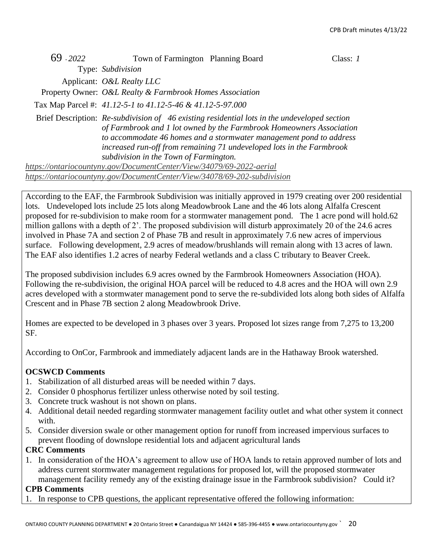| 69 - 2022 | Town of Farmington Planning Board                                        |                                                                                                                                                                                                                                                                                                                      | Class: 1 |
|-----------|--------------------------------------------------------------------------|----------------------------------------------------------------------------------------------------------------------------------------------------------------------------------------------------------------------------------------------------------------------------------------------------------------------|----------|
|           | Type: Subdivision                                                        |                                                                                                                                                                                                                                                                                                                      |          |
|           | Applicant: <i>O&amp;L Realty LLC</i>                                     |                                                                                                                                                                                                                                                                                                                      |          |
|           | Property Owner: O&L Realty & Farmbrook Homes Association                 |                                                                                                                                                                                                                                                                                                                      |          |
|           | Tax Map Parcel #: 41.12-5-1 to 41.12-5-46 & 41.12-5-97.000               |                                                                                                                                                                                                                                                                                                                      |          |
|           | subdivision in the Town of Farmington.                                   | Brief Description: Re-subdivision of 46 existing residential lots in the undeveloped section<br>of Farmbrook and 1 lot owned by the Farmbrook Homeowners Association<br>to accommodate 46 homes and a stormwater management pond to address<br>increased run-off from remaining 71 undeveloped lots in the Farmbrook |          |
|           | https://ontariocountyny.gov/DocumentCenter/View/34079/69-2022-aerial     |                                                                                                                                                                                                                                                                                                                      |          |
|           | https://ontariocountyny.gov/DocumentCenter/View/34078/69-202-subdivision |                                                                                                                                                                                                                                                                                                                      |          |

According to the EAF, the Farmbrook Subdivision was initially approved in 1979 creating over 200 residential lots. Undeveloped lots include 25 lots along Meadowbrook Lane and the 46 lots along Alfalfa Crescent proposed for re-subdivision to make room for a stormwater management pond. The 1 acre pond will hold.62 million gallons with a depth of 2'. The proposed subdivision will disturb approximately 20 of the 24.6 acres involved in Phase 7A and section 2 of Phase 7B and result in approximately 7.6 new acres of impervious surface. Following development, 2.9 acres of meadow/brushlands will remain along with 13 acres of lawn. The EAF also identifies 1.2 acres of nearby Federal wetlands and a class C tributary to Beaver Creek.

The proposed subdivision includes 6.9 acres owned by the Farmbrook Homeowners Association (HOA). Following the re-subdivision, the original HOA parcel will be reduced to 4.8 acres and the HOA will own 2.9 acres developed with a stormwater management pond to serve the re-subdivided lots along both sides of Alfalfa Crescent and in Phase 7B section 2 along Meadowbrook Drive.

Homes are expected to be developed in 3 phases over 3 years. Proposed lot sizes range from 7,275 to 13,200 SF.

According to OnCor, Farmbrook and immediately adjacent lands are in the Hathaway Brook watershed.

### **OCSWCD Comments**

- 1. Stabilization of all disturbed areas will be needed within 7 days.
- 2. Consider 0 phosphorus fertilizer unless otherwise noted by soil testing.
- 3. Concrete truck washout is not shown on plans.
- 4. Additional detail needed regarding stormwater management facility outlet and what other system it connect with.
- 5. Consider diversion swale or other management option for runoff from increased impervious surfaces to prevent flooding of downslope residential lots and adjacent agricultural lands

### **CRC Comments**

1. In consideration of the HOA's agreement to allow use of HOA lands to retain approved number of lots and address current stormwater management regulations for proposed lot, will the proposed stormwater management facility remedy any of the existing drainage issue in the Farmbrook subdivision? Could it?

#### **CPB Comments**

1. In response to CPB questions, the applicant representative offered the following information: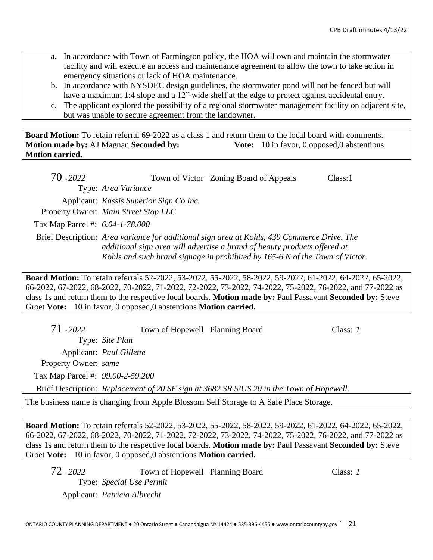- a. In accordance with Town of Farmington policy, the HOA will own and maintain the stormwater facility and will execute an access and maintenance agreement to allow the town to take action in emergency situations or lack of HOA maintenance.
- b. In accordance with NYSDEC design guidelines, the stormwater pond will not be fenced but will have a maximum 1:4 slope and a 12" wide shelf at the edge to protect against accidental entry.
- c. The applicant explored the possibility of a regional stormwater management facility on adjacent site, but was unable to secure agreement from the landowner.

**Board Motion:** To retain referral 69-2022 as a class 1 and return them to the local board with comments. **Motion made by:** AJ Magnan **Seconded by: Vote:** 10 in favor, 0 opposed,0 abstentions **Motion carried.**

| 70 - 2022                       |                                                                                             | Town of Victor Zoning Board of Appeals | Class:1 |
|---------------------------------|---------------------------------------------------------------------------------------------|----------------------------------------|---------|
|                                 | Type: Area Variance                                                                         |                                        |         |
|                                 | Applicant: Kassis Superior Sign Co Inc.                                                     |                                        |         |
|                                 | Property Owner: Main Street Stop LLC                                                        |                                        |         |
| Tax Map Parcel #: 6.04-1-78.000 |                                                                                             |                                        |         |
|                                 | Brief Description: Area variance for additional sign area at Kohls, 439 Commerce Drive. The |                                        |         |

*additional sign area will advertise a brand of beauty products offered at Kohls and such brand signage in prohibited by 165-6 N of the Town of Victor.* 

**Board Motion:** To retain referrals 52-2022, 53-2022, 55-2022, 58-2022, 59-2022, 61-2022, 64-2022, 65-2022, 66-2022, 67-2022, 68-2022, 70-2022, 71-2022, 72-2022, 73-2022, 74-2022, 75-2022, 76-2022, and 77-2022 as class 1s and return them to the respective local boards. **Motion made by:** Paul Passavant **Seconded by:** Steve Groet **Vote:** 10 in favor, 0 opposed,0 abstentions **Motion carried.**

| 71 - 2022                        | Town of Hopewell Planning Board |                                                                                          | Class: $I$ |
|----------------------------------|---------------------------------|------------------------------------------------------------------------------------------|------------|
|                                  | Type: Site Plan                 |                                                                                          |            |
|                                  | Applicant: Paul Gillette        |                                                                                          |            |
| Property Owner: same             |                                 |                                                                                          |            |
| Tax Map Parcel #: 99.00-2-59.200 |                                 |                                                                                          |            |
|                                  |                                 | Brief Description: Replacement of 20 SF sign at 3682 SR 5/US 20 in the Town of Hopewell. |            |
|                                  |                                 | The business name is changing from Apple Blossom Self Storage to A Safe Place Storage.   |            |

**Board Motion:** To retain referrals 52-2022, 53-2022, 55-2022, 58-2022, 59-2022, 61-2022, 64-2022, 65-2022, 66-2022, 67-2022, 68-2022, 70-2022, 71-2022, 72-2022, 73-2022, 74-2022, 75-2022, 76-2022, and 77-2022 as class 1s and return them to the respective local boards. **Motion made by:** Paul Passavant **Seconded by:** Steve Groet **Vote:** 10 in favor, 0 opposed,0 abstentions **Motion carried.**

72 - *2022* Town of Hopewell Planning Board Class: *1* Type: *Special Use Permit* Applicant: *Patricia Albrecht*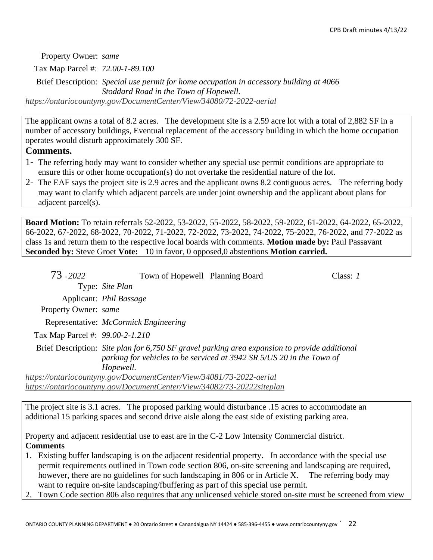Property Owner: *same*

Tax Map Parcel #: *72.00-1-89.100*

Brief Description: *Special use permit for home occupation in accessory building at 4066 Stoddard Road in the Town of Hopewell. <https://ontariocountyny.gov/DocumentCenter/View/34080/72-2022-aerial>*

The applicant owns a total of 8.2 acres. The development site is a 2.59 acre lot with a total of 2,882 SF in a number of accessory buildings, Eventual replacement of the accessory building in which the home occupation operates would disturb approximately 300 SF.

## **Comments.**

- 1- The referring body may want to consider whether any special use permit conditions are appropriate to ensure this or other home occupation(s) do not overtake the residential nature of the lot.
- 2- The EAF says the project site is 2.9 acres and the applicant owns 8.2 contiguous acres. The referring body may want to clarify which adjacent parcels are under joint ownership and the applicant about plans for adjacent parcel(s).

**Board Motion:** To retain referrals 52-2022, 53-2022, 55-2022, 58-2022, 59-2022, 61-2022, 64-2022, 65-2022, 66-2022, 67-2022, 68-2022, 70-2022, 71-2022, 72-2022, 73-2022, 74-2022, 75-2022, 76-2022, and 77-2022 as class 1s and return them to the respective local boards with comments. **Motion made by:** Paul Passavant **Seconded by:** Steve Groet **Vote:** 10 in favor, 0 opposed,0 abstentions **Motion carried.**

| 73 - 2022                       | Town of Hopewell Planning Board                                                                                                                                                     | Class: 1 |
|---------------------------------|-------------------------------------------------------------------------------------------------------------------------------------------------------------------------------------|----------|
|                                 | Type: Site Plan                                                                                                                                                                     |          |
|                                 | Applicant: <i>Phil Bassage</i>                                                                                                                                                      |          |
| Property Owner: same            |                                                                                                                                                                                     |          |
|                                 | Representative: <i>McCormick Engineering</i>                                                                                                                                        |          |
| Tax Map Parcel #: 99.00-2-1.210 |                                                                                                                                                                                     |          |
|                                 | Brief Description: Site plan for 6,750 SF gravel parking area expansion to provide additional<br>parking for vehicles to be serviced at 3942 SR 5/US 20 in the Town of<br>Hopewell. |          |
|                                 | https://ontariocountyny.gov/DocumentCenter/View/34081/73-2022-aerial                                                                                                                |          |
|                                 | https://ontariocountyny.gov/DocumentCenter/View/34082/73-20222siteplan                                                                                                              |          |

The project site is 3.1 acres. The proposed parking would disturbance .15 acres to accommodate an additional 15 parking spaces and second drive aisle along the east side of existing parking area.

Property and adjacent residential use to east are in the C-2 Low Intensity Commercial district. **Comments**

- 1. Existing buffer landscaping is on the adjacent residential property. In accordance with the special use permit requirements outlined in Town code section 806, on-site screening and landscaping are required, however, there are no guidelines for such landscaping in 806 or in Article X. The referring body may want to require on-site landscaping/fbuffering as part of this special use permit.
- Town Code section 806 also requires that any unlicensed vehicle stored on-site must be screened from view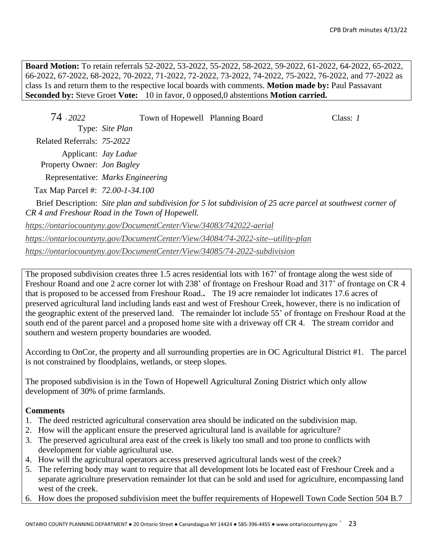**Board Motion:** To retain referrals 52-2022, 53-2022, 55-2022, 58-2022, 59-2022, 61-2022, 64-2022, 65-2022, 66-2022, 67-2022, 68-2022, 70-2022, 71-2022, 72-2022, 73-2022, 74-2022, 75-2022, 76-2022, and 77-2022 as class 1s and return them to the respective local boards with comments. **Motion made by:** Paul Passavant **Seconded by:** Steve Groet **Vote:** 10 in favor, 0 opposed,0 abstentions **Motion carried.**

| 74 - 2022                         | Town of Hopewell Planning Board                                     |                                                                                                             | Class: $1$ |
|-----------------------------------|---------------------------------------------------------------------|-------------------------------------------------------------------------------------------------------------|------------|
|                                   | Type: Site Plan                                                     |                                                                                                             |            |
| Related Referrals: 75-2022        |                                                                     |                                                                                                             |            |
| Property Owner: <i>Jon Bagley</i> | Applicant: <i>Jay Ladue</i>                                         |                                                                                                             |            |
|                                   | Representative: Marks Engineering                                   |                                                                                                             |            |
| Tax Map Parcel #: 72.00-1-34.100  |                                                                     |                                                                                                             |            |
|                                   | CR 4 and Freshour Road in the Town of Hopewell.                     | Brief Description: Site plan and subdivision for 5 lot subdivision of 25 acre parcel at southwest corner of |            |
|                                   | https://ontariocountyny.gov/DocumentCenter/View/34083/742022-aerial |                                                                                                             |            |

*<https://ontariocountyny.gov/DocumentCenter/View/34084/74-2022-site--utility-plan>*

*<https://ontariocountyny.gov/DocumentCenter/View/34085/74-2022-subdivision>*

The proposed subdivision creates three 1.5 acres residential lots with 167' of frontage along the west side of Freshour Roand and one 2 acre corner lot with 238' of frontage on Freshour Road and 317' of frontage on CR 4 that is proposed to be accessed from Freshour Road.**.** The 19 acre remainder lot indicates 17.6 acres of preserved agricultural land including lands east and west of Freshour Creek, however, there is no indication of the geographic extent of the preserved land. The remainder lot include 55' of frontage on Freshour Road at the south end of the parent parcel and a proposed home site with a driveway off CR 4. The stream corridor and southern and western property boundaries are wooded.

According to OnCor, the property and all surrounding properties are in OC Agricultural District #1. The parcel is not constrained by floodplains, wetlands, or steep slopes.

The proposed subdivision is in the Town of Hopewell Agricultural Zoning District which only allow development of 30% of prime farmlands.

#### **Comments**

- 1. The deed restricted agricultural conservation area should be indicated on the subdivision map.
- 2. How will the applicant ensure the preserved agricultural land is available for agriculture?
- 3. The preserved agricultural area east of the creek is likely too small and too prone to conflicts with development for viable agricultural use.
- 4. How will the agricultural operators access preserved agricultural lands west of the creek?
- 5. The referring body may want to require that all development lots be located east of Freshour Creek and a separate agriculture preservation remainder lot that can be sold and used for agriculture, encompassing land west of the creek.
- 6. How does the proposed subdivision meet the buffer requirements of Hopewell Town Code Section 504 B.7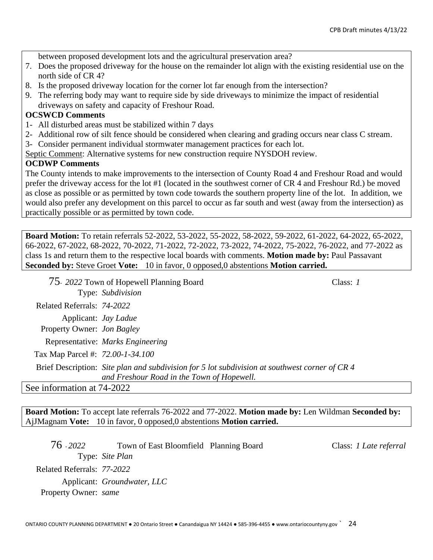between proposed development lots and the agricultural preservation area?

- 7. Does the proposed driveway for the house on the remainder lot align with the existing residential use on the north side of CR 4?
- 8. Is the proposed driveway location for the corner lot far enough from the intersection?
- 9. The referring body may want to require side by side driveways to minimize the impact of residential driveways on safety and capacity of Freshour Road.

#### **OCSWCD Comments**

- 1- All disturbed areas must be stabilized within 7 days
- 2- Additional row of silt fence should be considered when clearing and grading occurs near class C stream.
- 3- Consider permanent individual stormwater management practices for each lot.

Septic Comment: Alternative systems for new construction require NYSDOH review.

#### **OCDWP Comments**

The County intends to make improvements to the intersection of County Road 4 and Freshour Road and would prefer the driveway access for the lot #1 (located in the southwest corner of CR 4 and Freshour Rd.) be moved as close as possible or as permitted by town code towards the southern property line of the lot. In addition, we would also prefer any development on this parcel to occur as far south and west (away from the intersection) as practically possible or as permitted by town code.

**Board Motion:** To retain referrals 52-2022, 53-2022, 55-2022, 58-2022, 59-2022, 61-2022, 64-2022, 65-2022, 66-2022, 67-2022, 68-2022, 70-2022, 71-2022, 72-2022, 73-2022, 74-2022, 75-2022, 76-2022, and 77-2022 as class 1s and return them to the respective local boards with comments. **Motion made by:** Paul Passavant **Seconded by:** Steve Groet **Vote:** 10 in favor, 0 opposed,0 abstentions **Motion carried.**

75- *2022* Town of Hopewell Planning Board Class: *1* Type: *Subdivision* Related Referrals: *74-2022* Applicant: *Jay Ladue* Property Owner: *Jon Bagley* Representative: *Marks Engineering* Tax Map Parcel #: *72.00-1-34.100* Brief Description: *Site plan and subdivision for 5 lot subdivision at southwest corner of CR 4 and Freshour Road in the Town of Hopewell.* See information at 74-2022

**Board Motion:** To accept late referrals 76-2022 and 77-2022. **Motion made by:** Len Wildman **Seconded by:**  AjJMagnam **Vote:** 10 in favor, 0 opposed,0 abstentions **Motion carried.**

76 - *2022* Town of East Bloomfield Planning Board Class: *1 Late referral* Type: *Site Plan* Related Referrals: *77-2022* Applicant: *Groundwater, LLC* Property Owner: *same*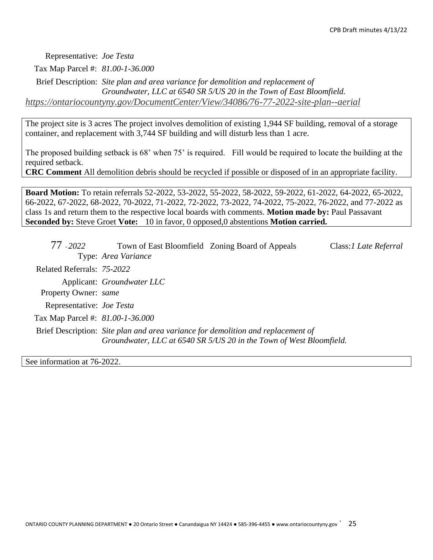Representative: *Joe Testa*

Tax Map Parcel #: *81.00-1-36.000*

Brief Description: *Site plan and area variance for demolition and replacement of Groundwater, LLC at 6540 SR 5/US 20 in the Town of East Bloomfield. <https://ontariocountyny.gov/DocumentCenter/View/34086/76-77-2022-site-plan--aerial>*

The project site is 3 acres The project involves demolition of existing 1,944 SF building, removal of a storage container, and replacement with 3,744 SF building and will disturb less than 1 acre.

The proposed building setback is 68' when 75' is required. Fill would be required to locate the building at the required setback.

**CRC Comment** All demolition debris should be recycled if possible or disposed of in an appropriate facility.

**Board Motion:** To retain referrals 52-2022, 53-2022, 55-2022, 58-2022, 59-2022, 61-2022, 64-2022, 65-2022, 66-2022, 67-2022, 68-2022, 70-2022, 71-2022, 72-2022, 73-2022, 74-2022, 75-2022, 76-2022, and 77-2022 as class 1s and return them to the respective local boards with comments. **Motion made by:** Paul Passavant **Seconded by:** Steve Groet **Vote:** 10 in favor, 0 opposed,0 abstentions **Motion carried.**

| 77 - 2022                        | Town of East Bloomfield Zoning Board of Appeals                                                                                                         | Class: <i>I Late Referral</i> |
|----------------------------------|---------------------------------------------------------------------------------------------------------------------------------------------------------|-------------------------------|
|                                  | Type: Area Variance                                                                                                                                     |                               |
| Related Referrals: 75-2022       |                                                                                                                                                         |                               |
|                                  | Applicant: Groundwater LLC                                                                                                                              |                               |
| Property Owner: same             |                                                                                                                                                         |                               |
| Representative: Joe Testa        |                                                                                                                                                         |                               |
| Tax Map Parcel #: 81.00-1-36.000 |                                                                                                                                                         |                               |
|                                  | Brief Description: Site plan and area variance for demolition and replacement of<br>Groundwater, LLC at 6540 SR 5/US 20 in the Town of West Bloomfield. |                               |

See information at 76-2022.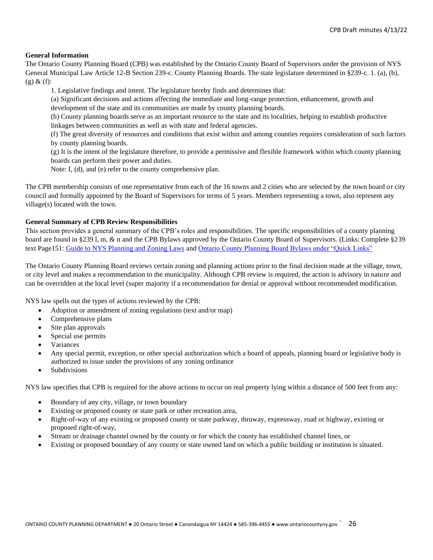#### **General Information**

The Ontario County Planning Board (CPB) was established by the Ontario County Board of Supervisors under the provision of NYS General Municipal Law Article 12-B Section 239-c. County Planning Boards. The state legislature determined in §239-c. 1. (a), (b),  $(g) & (f)$ :

1. Legislative findings and intent. The legislature hereby finds and determines that:

(a) Significant decisions and actions affecting the immediate and long-range protection, enhancement, growth and development of the state and its communities are made by county planning boards.

(b) County planning boards serve as an important resource to the state and its localities, helping to establish productive linkages between communities as well as with state and federal agencies.

(f) The great diversity of resources and conditions that exist within and among counties requires consideration of such factors by county planning boards.

(g) It is the intent of the legislature therefore, to provide a permissive and flexible framework within which county planning boards can perform their power and duties.

Note: I, (d), and (e) refer to the county comprehensive plan.

The CPB membership consists of one representative from each of the 16 towns and 2 cities who are selected by the town board or city council and formally appointed by the Board of Supervisors for terms of 5 years. Members representing a town, also represent any village(s) located with the town.

#### **General Summary of CPB Review Responsibilities**

This section provides a general summary of the CPB's roles and responsibilities. The specific responsibilities of a county planning board are found in §239 l, m, & n and the CPB Bylaws approved by the Ontario County Board of Supervisors. (Links: Complete §239 text Page151: [Guide to NYS Planning and Zoning Laws](http://www.dos.ny.gov/lg/publications/Guide_to_Planning_and_Zoning_Laws.pdf) an[d Ontario County Planning Board Bylaws under "Quick Links"](http://www.co.ontario.ny.us/index.aspx?nid=516)

The Ontario County Planning Board reviews certain zoning and planning actions prior to the final decision made at the village, town, or city level and makes a recommendation to the municipality. Although CPB review is required, the action is advisory in nature and can be overridden at the local level (super majority if a recommendation for denial or approval without recommended modification.

NYS law spells out the types of actions reviewed by the CPB:

- Adoption or amendment of zoning regulations (text and/or map)
- Comprehensive plans
- Site plan approvals
- Special use permits
- **Variances**
- Any special permit, exception, or other special authorization which a board of appeals, planning board or legislative body is authorized to issue under the provisions of any zoning ordinance
- **Subdivisions**

NYS law specifies that CPB is required for the above actions to occur on real property lying within a distance of 500 feet from any:

- Boundary of any city, village, or town boundary
- Existing or proposed county or state park or other recreation area,
- Right-of-way of any existing or proposed county or state parkway, thruway, expressway, road or highway, existing or proposed right-of-way,
- Stream or drainage channel owned by the county or for which the county has established channel lines, or
- Existing or proposed boundary of any county or state owned land on which a public building or institution is situated.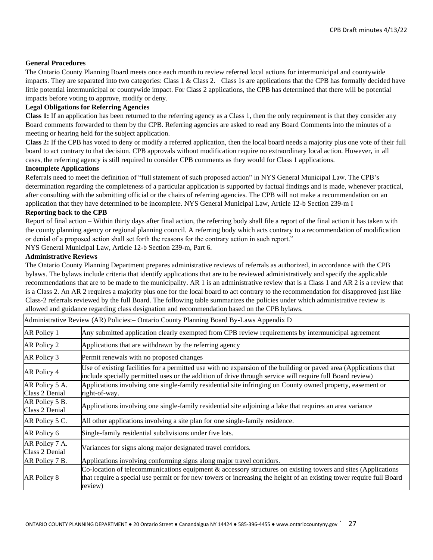#### **General Procedures**

The Ontario County Planning Board meets once each month to review referred local actions for intermunicipal and countywide impacts. They are separated into two categories: Class 1 & Class 2. Class 1s are applications that the CPB has formally decided have little potential intermunicipal or countywide impact. For Class 2 applications, the CPB has determined that there will be potential impacts before voting to approve, modify or deny.

#### **Legal Obligations for Referring Agencies**

**Class 1:** If an application has been returned to the referring agency as a Class 1, then the only requirement is that they consider any Board comments forwarded to them by the CPB. Referring agencies are asked to read any Board Comments into the minutes of a meeting or hearing held for the subject application.

**Class 2:** If the CPB has voted to deny or modify a referred application, then the local board needs a majority plus one vote of their full board to act contrary to that decision. CPB approvals without modification require no extraordinary local action. However, in all cases, the referring agency is still required to consider CPB comments as they would for Class 1 applications.

#### **Incomplete Applications**

Referrals need to meet the definition of "full statement of such proposed action" in NYS General Municipal Law. The CPB's determination regarding the completeness of a particular application is supported by factual findings and is made, whenever practical, after consulting with the submitting official or the chairs of referring agencies. The CPB will not make a recommendation on an application that they have determined to be incomplete. NYS General Municipal Law, Article 12-b Section 239-m I

#### **Reporting back to the CPB**

Report of final action – Within thirty days after final action, the referring body shall file a report of the final action it has taken with the county planning agency or regional planning council. A referring body which acts contrary to a recommendation of modification or denial of a proposed action shall set forth the reasons for the contrary action in such report."

NYS General Municipal Law, Article 12-b Section 239-m, Part 6.

#### **Administrative Reviews**

The Ontario County Planning Department prepares administrative reviews of referrals as authorized, in accordance with the CPB bylaws. The bylaws include criteria that identify applications that are to be reviewed administratively and specify the applicable recommendations that are to be made to the municipality. AR 1 is an administrative review that is a Class 1 and AR 2 is a review that is a Class 2. An AR 2 requires a majority plus one for the local board to act contrary to the recommendation for disapproved just like Class-2 referrals reviewed by the full Board. The following table summarizes the policies under which administrative review is allowed and guidance regarding class designation and recommendation based on the CPB bylaws.

| Administrative Review (AR) Policies:- Ontario County Planning Board By-Laws Appendix D |                                                                                                                                                                                                                                                  |
|----------------------------------------------------------------------------------------|--------------------------------------------------------------------------------------------------------------------------------------------------------------------------------------------------------------------------------------------------|
| AR Policy 1                                                                            | Any submitted application clearly exempted from CPB review requirements by intermunicipal agreement                                                                                                                                              |
| AR Policy 2                                                                            | Applications that are withdrawn by the referring agency                                                                                                                                                                                          |
| AR Policy 3                                                                            | Permit renewals with no proposed changes                                                                                                                                                                                                         |
| AR Policy 4                                                                            | Use of existing facilities for a permitted use with no expansion of the building or paved area (Applications that<br>include specially permitted uses or the addition of drive through service will require full Board review)                   |
| AR Policy 5 A.<br>Class 2 Denial                                                       | Applications involving one single-family residential site infringing on County owned property, easement or<br>right-of-way.                                                                                                                      |
| AR Policy 5 B.<br>Class 2 Denial                                                       | Applications involving one single-family residential site adjoining a lake that requires an area variance                                                                                                                                        |
| AR Policy 5 C.                                                                         | All other applications involving a site plan for one single-family residence.                                                                                                                                                                    |
| AR Policy 6                                                                            | Single-family residential subdivisions under five lots.                                                                                                                                                                                          |
| AR Policy 7 A.<br>Class 2 Denial                                                       | Variances for signs along major designated travel corridors.                                                                                                                                                                                     |
| AR Policy 7 B.                                                                         | Applications involving conforming signs along major travel corridors.                                                                                                                                                                            |
| AR Policy 8                                                                            | Co-location of telecommunications equipment & accessory structures on existing towers and sites (Applications<br>that require a special use permit or for new towers or increasing the height of an existing tower require full Board<br>review) |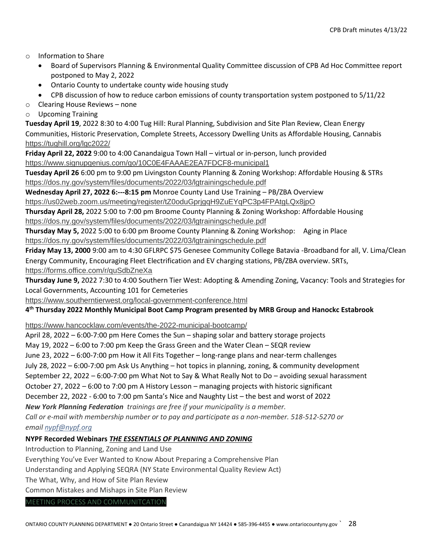- o Information to Share
	- Board of Supervisors Planning & Environmental Quality Committee discussion of CPB Ad Hoc Committee report postponed to May 2, 2022
	- Ontario County to undertake county wide housing study
	- CPB discussion of how to reduce carbon emissions of county transportation system postponed to 5/11/22
- o Clearing House Reviews none
- o Upcoming Training

**Tuesday April 19**, 2022 8:30 to 4:00 Tug Hill: Rural Planning, Subdivision and Site Plan Review, Clean Energy Communities, Historic Preservation, Complete Streets, Accessory Dwelling Units as Affordable Housing, Cannabis <https://tughill.org/lgc2022/>

**Friday April 22, 2022** 9:00 to 4:00 Canandaigua Town Hall – virtual or in-person, lunch provided <https://www.signupgenius.com/go/10C0E4FAAAE2EA7FDCF8-municipal1>

**Tuesday April 26** 6:00 pm to 9:00 pm Livingston County Planning & Zoning Workshop: Affordable Housing & STRs <https://dos.ny.gov/system/files/documents/2022/03/lgtrainingschedule.pdf>

**Wednesday April 27, 2022 6:---8:15 pm** Monroe County Land Use Training – PB/ZBA Overview

<https://us02web.zoom.us/meeting/register/tZ0oduGprjgqH9ZuEYqPC3p4FPAtgLQx8jpO>

**Thursday April 28,** 2022 5:00 to 7:00 pm Broome County Planning & Zoning Workshop: Affordable Housing <https://dos.ny.gov/system/files/documents/2022/03/lgtrainingschedule.pdf>

**Thursday May 5,** 2022 5:00 to 6:00 pm Broome County Planning & Zoning Workshop: Aging in Place <https://dos.ny.gov/system/files/documents/2022/03/lgtrainingschedule.pdf>

**Friday May 13, 2000** 9:00 am to 4:30 GFLRPC \$75 Genesee Community College Batavia -Broadband for all, V. Lima/Clean Energy Community, Encouraging Fleet Electrification and EV charging stations, PB/ZBA overview. SRTs, <https://forms.office.com/r/quSdbZneXa>

**Thursday June 9,** 2022 7:30 to 4:00 Southern Tier West: Adopting & Amending Zoning, Vacancy: Tools and Strategies for Local Governments, Accounting 101 for Cemeteries

<https://www.southerntierwest.org/local-government-conference.html>

#### **4 th Thursday 2022 Monthly Municipal Boot Camp Program presented by MRB Group and Hanockc Estabrook**

<https://www.hancocklaw.com/events/the-2022-municipal-bootcamp/>

April 28, 2022 – 6:00-7:00 pm Here Comes the Sun – shaping solar and battery storage projects

May 19, 2022 – 6:00 to 7:00 pm Keep the Grass Green and the Water Clean – SEQR review

June 23, 2022 – 6:00-7:00 pm How it All Fits Together – long-range plans and near-term challenges

July 28, 2022 – 6:00-7:00 pm Ask Us Anything – hot topics in planning, zoning, & community development

September 22, 2022 – 6:00-7:00 pm What Not to Say & What Really Not to Do – avoiding sexual harassment

October 27, 2022 – 6:00 to 7:00 pm A History Lesson – managing projects with historic significant

December 22, 2022 - 6:00 to 7:00 pm Santa's Nice and Naughty List – the best and worst of 2022

*New York Planning Federation trainings are free if your municipality is a member.* 

*Call or e-mail with membership number or to pay and participate as a non-member. 518-512-5270 or* 

*email [nypf@nypf.org](mailto:nypf@nypf.org)*

#### **NYPF Recorded Webinars** *THE ESSENTIALS OF PLANNING AND ZONING*

Introduction to Planning, Zoning and Land Use

Everything You've Ever Wanted to Know About Preparing a Comprehensive Plan

Understanding and Applying SEQRA (NY State Environmental Quality Review Act)

The What, Why, and How of Site Plan Review

Common Mistakes and Mishaps in Site Plan Review

MEETING PROCESS AND COMMUNITCATION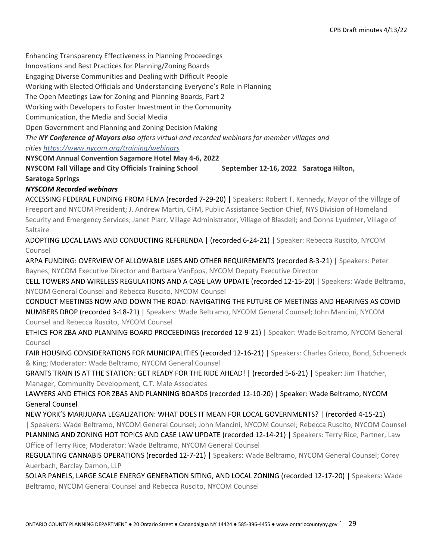Enhancing Transparency Effectiveness in Planning Proceedings Innovations and Best Practices for Planning/Zoning Boards Engaging Diverse Communities and Dealing with Difficult People Working with Elected Officials and Understanding Everyone's Role in Planning The Open Meetings Law for Zoning and Planning Boards, Part 2 Working with Developers to Foster Investment in the Community Communication, the Media and Social Media Open Government and Planning and Zoning Decision Making *The NY Conference of Mayors also offers virtual and recorded webinars for member villages and cities <https://www.nycom.org/training/webinars>* **NYSCOM Annual Convention Sagamore Hotel May 4-6, 2022**

**NYSCOM Fall Village and City Officials Training School September 12-16, 2022 Saratoga Hilton, Saratoga Springs**

*NYSCOM Recorded webinars*

ACCESSING FEDERAL FUNDING FROM FEMA (recorded 7-29-20) | Speakers: Robert T. Kennedy, Mayor of the Village of Freeport and NYCOM President; J. Andrew Martin, CFM, Public Assistance Section Chief, NYS Division of Homeland Security and Emergency Services; Janet Plarr, Village Administrator, Village of Blasdell; and Donna Lyudmer, Village of Saltaire

ADOPTING LOCAL LAWS AND CONDUCTING REFERENDA | (recorded 6-24-21) | Speaker: Rebecca Ruscito, NYCOM Counsel

ARPA FUNDING: OVERVIEW OF ALLOWABLE USES AND OTHER REQUIREMENTS (recorded 8-3-21) | Speakers: Peter Baynes, NYCOM Executive Director and Barbara VanEpps, NYCOM Deputy Executive Director

CELL TOWERS AND WIRELESS REGULATIONS AND A CASE LAW UPDATE (recorded 12-15-20) | Speakers: Wade Beltramo, NYCOM General Counsel and Rebecca Ruscito, NYCOM Counsel

CONDUCT MEETINGS NOW AND DOWN THE ROAD: NAVIGATING THE FUTURE OF MEETINGS AND HEARINGS AS COVID NUMBERS DROP (recorded 3-18-21) | Speakers: Wade Beltramo, NYCOM General Counsel; John Mancini, NYCOM Counsel and Rebecca Ruscito, NYCOM Counsel

ETHICS FOR ZBA AND PLANNING BOARD PROCEEDINGS (recorded 12-9-21) | Speaker: Wade Beltramo, NYCOM General Counsel

FAIR HOUSING CONSIDERATIONS FOR MUNICIPALITIES (recorded 12-16-21) | Speakers: Charles Grieco, Bond, Schoeneck & King; Moderator: Wade Beltramo, NYCOM General Counsel

GRANTS TRAIN IS AT THE STATION: GET READY FOR THE RIDE AHEAD! | (recorded 5-6-21) | Speaker: Jim Thatcher, Manager, Community Development, C.T. Male Associates

LAWYERS AND ETHICS FOR ZBAS AND PLANNING BOARDS (recorded 12-10-20) | Speaker: Wade Beltramo, NYCOM General Counsel

NEW YORK'S MARIJUANA LEGALIZATION: WHAT DOES IT MEAN FOR LOCAL GOVERNMENTS? | (recorded 4-15-21)

| Speakers: Wade Beltramo, NYCOM General Counsel; John Mancini, NYCOM Counsel; Rebecca Ruscito, NYCOM Counsel PLANNING AND ZONING HOT TOPICS AND CASE LAW UPDATE (recorded 12-14-21) | Speakers: Terry Rice, Partner, Law Office of Terry Rice; Moderator: Wade Beltramo, NYCOM General Counsel

REGULATING CANNABIS OPERATIONS (recorded 12-7-21) | Speakers: Wade Beltramo, NYCOM General Counsel; Corey Auerbach, Barclay Damon, LLP

SOLAR PANELS, LARGE SCALE ENERGY GENERATION SITING, AND LOCAL ZONING (recorded 12-17-20) | Speakers: Wade Beltramo, NYCOM General Counsel and Rebecca Ruscito, NYCOM Counsel